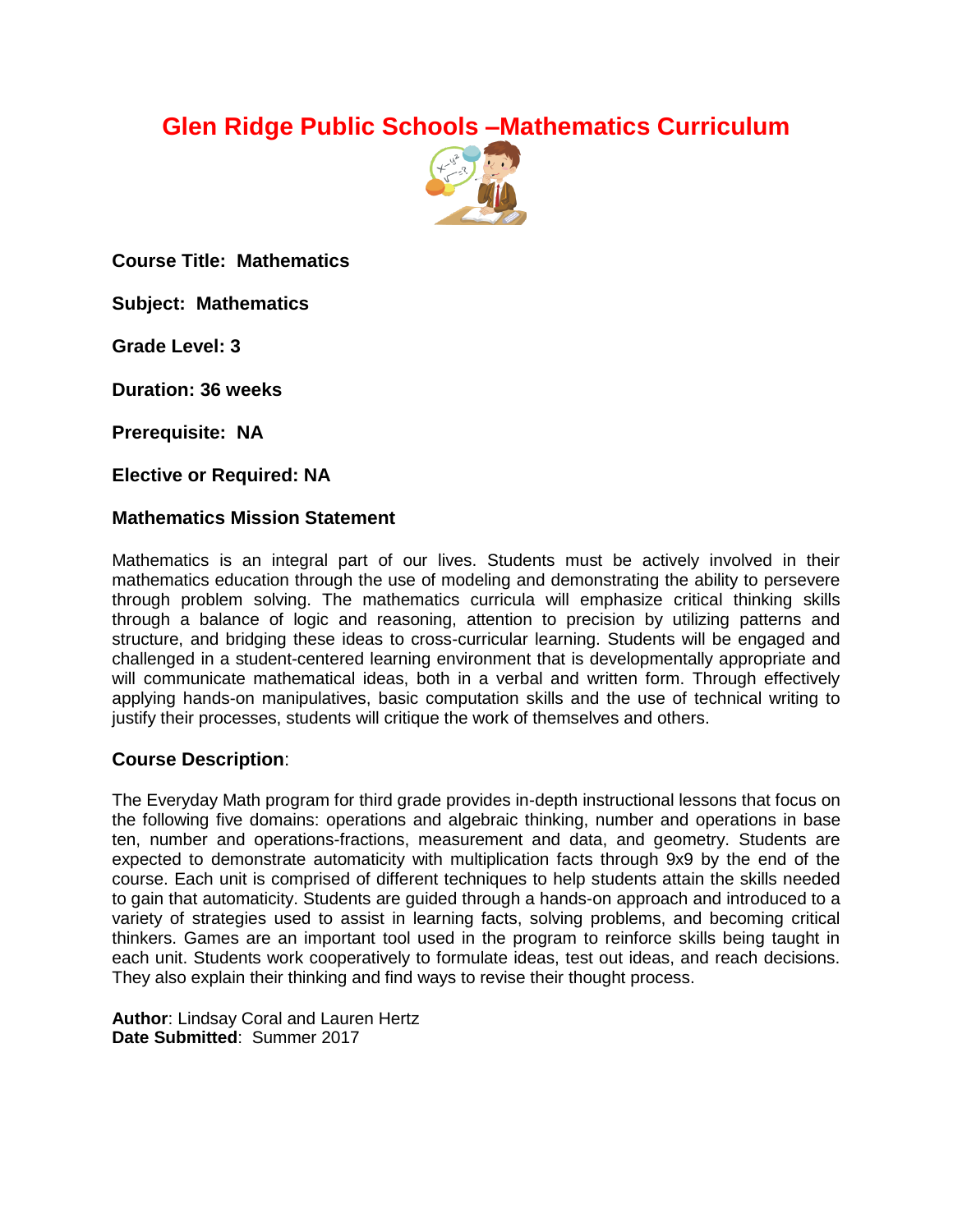# **Glen Ridge Public Schools –Mathematics Curriculum**



**Course Title: Mathematics**

**Subject: Mathematics**

**Grade Level: 3**

**Duration: 36 weeks**

**Prerequisite: NA**

**Elective or Required: NA**

#### **Mathematics Mission Statement**

Mathematics is an integral part of our lives. Students must be actively involved in their mathematics education through the use of modeling and demonstrating the ability to persevere through problem solving. The mathematics curricula will emphasize critical thinking skills through a balance of logic and reasoning, attention to precision by utilizing patterns and structure, and bridging these ideas to cross-curricular learning. Students will be engaged and challenged in a student-centered learning environment that is developmentally appropriate and will communicate mathematical ideas, both in a verbal and written form. Through effectively applying hands-on manipulatives, basic computation skills and the use of technical writing to justify their processes, students will critique the work of themselves and others.

#### **Course Description**:

The Everyday Math program for third grade provides in-depth instructional lessons that focus on the following five domains: operations and algebraic thinking, number and operations in base ten, number and operations-fractions, measurement and data, and geometry. Students are expected to demonstrate automaticity with multiplication facts through 9x9 by the end of the course. Each unit is comprised of different techniques to help students attain the skills needed to gain that automaticity. Students are guided through a hands-on approach and introduced to a variety of strategies used to assist in learning facts, solving problems, and becoming critical thinkers. Games are an important tool used in the program to reinforce skills being taught in each unit. Students work cooperatively to formulate ideas, test out ideas, and reach decisions. They also explain their thinking and find ways to revise their thought process.

**Author**: Lindsay Coral and Lauren Hertz **Date Submitted**: Summer 2017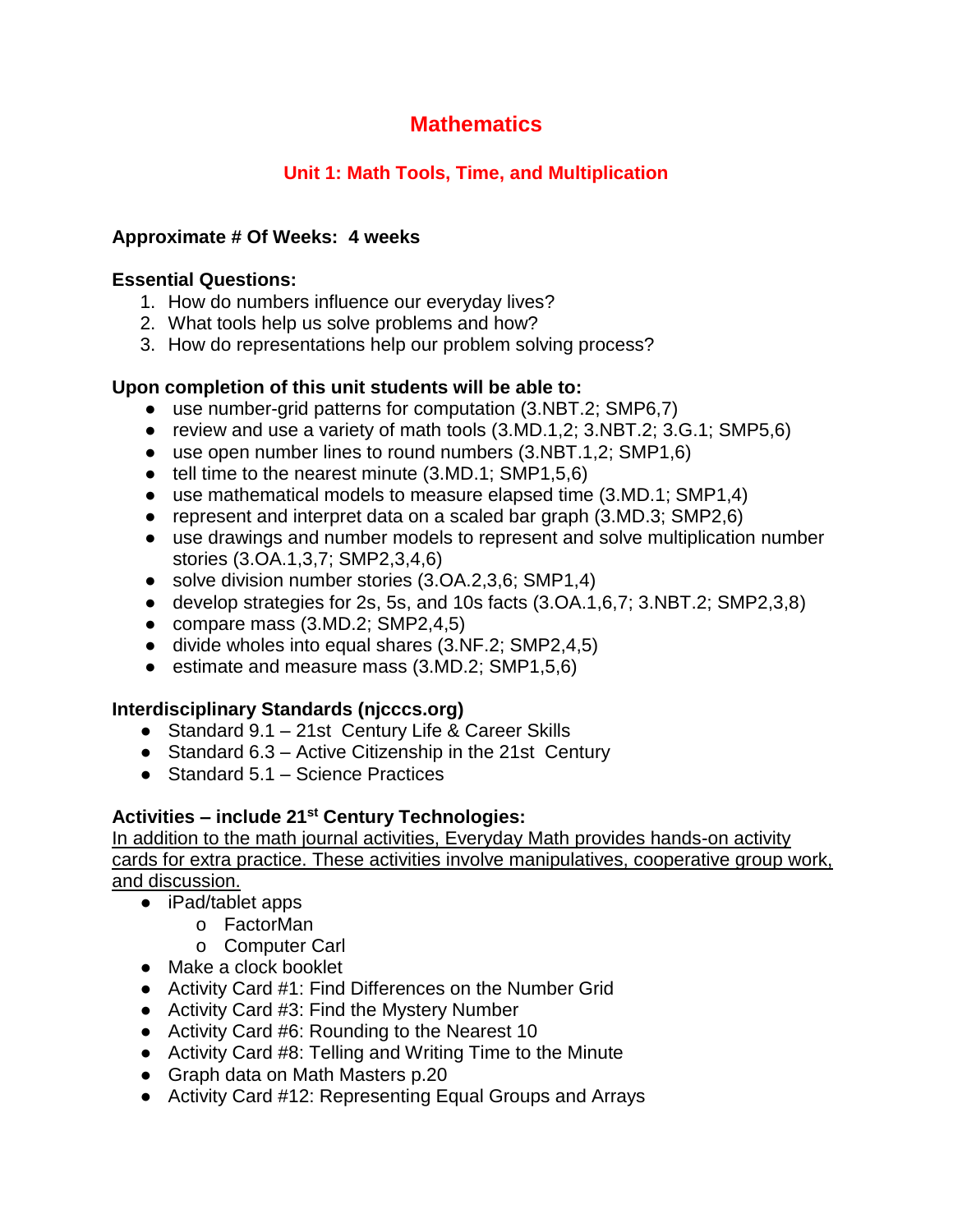## **Unit 1: Math Tools, Time, and Multiplication**

#### **Approximate # Of Weeks: 4 weeks**

#### **Essential Questions:**

- 1. How do numbers influence our everyday lives?
- 2. What tools help us solve problems and how?
- 3. How do representations help our problem solving process?

#### **Upon completion of this unit students will be able to:**

- use number-grid patterns for computation (3.NBT.2; SMP6,7)
- review and use a variety of math tools (3.MD.1,2; 3.NBT.2; 3.G.1; SMP5,6)
- use open number lines to round numbers (3.NBT.1,2; SMP1,6)
- tell time to the nearest minute (3.MD.1; SMP1,5,6)
- $\bullet$  use mathematical models to measure elapsed time (3.MD.1; SMP1,4)
- represent and interpret data on a scaled bar graph (3.MD.3; SMP2,6)
- use drawings and number models to represent and solve multiplication number stories (3.OA.1,3,7; SMP2,3,4,6)
- solve division number stories (3.OA.2,3,6; SMP1,4)
- develop strategies for 2s, 5s, and 10s facts (3.OA.1,6,7; 3.NBT.2; SMP2,3,8)
- compare mass  $(3.MD.2; SMP2, 4, 5)$
- divide wholes into equal shares (3.NF.2; SMP2,4,5)
- estimate and measure mass (3.MD.2; SMP1,5,6)

## **Interdisciplinary Standards (njcccs.org)**

- Standard 9.1 21st Century Life & Career Skills
- Standard 6.3 Active Citizenship in the 21st Century
- Standard 5.1 Science Practices

## **Activities – include 21st Century Technologies:**

- iPad/tablet apps
	- o FactorMan
	- o Computer Carl
- Make a clock booklet
- Activity Card #1: Find Differences on the Number Grid
- Activity Card #3: Find the Mystery Number
- Activity Card #6: Rounding to the Nearest 10
- Activity Card #8: Telling and Writing Time to the Minute
- Graph data on Math Masters p.20
- Activity Card #12: Representing Equal Groups and Arrays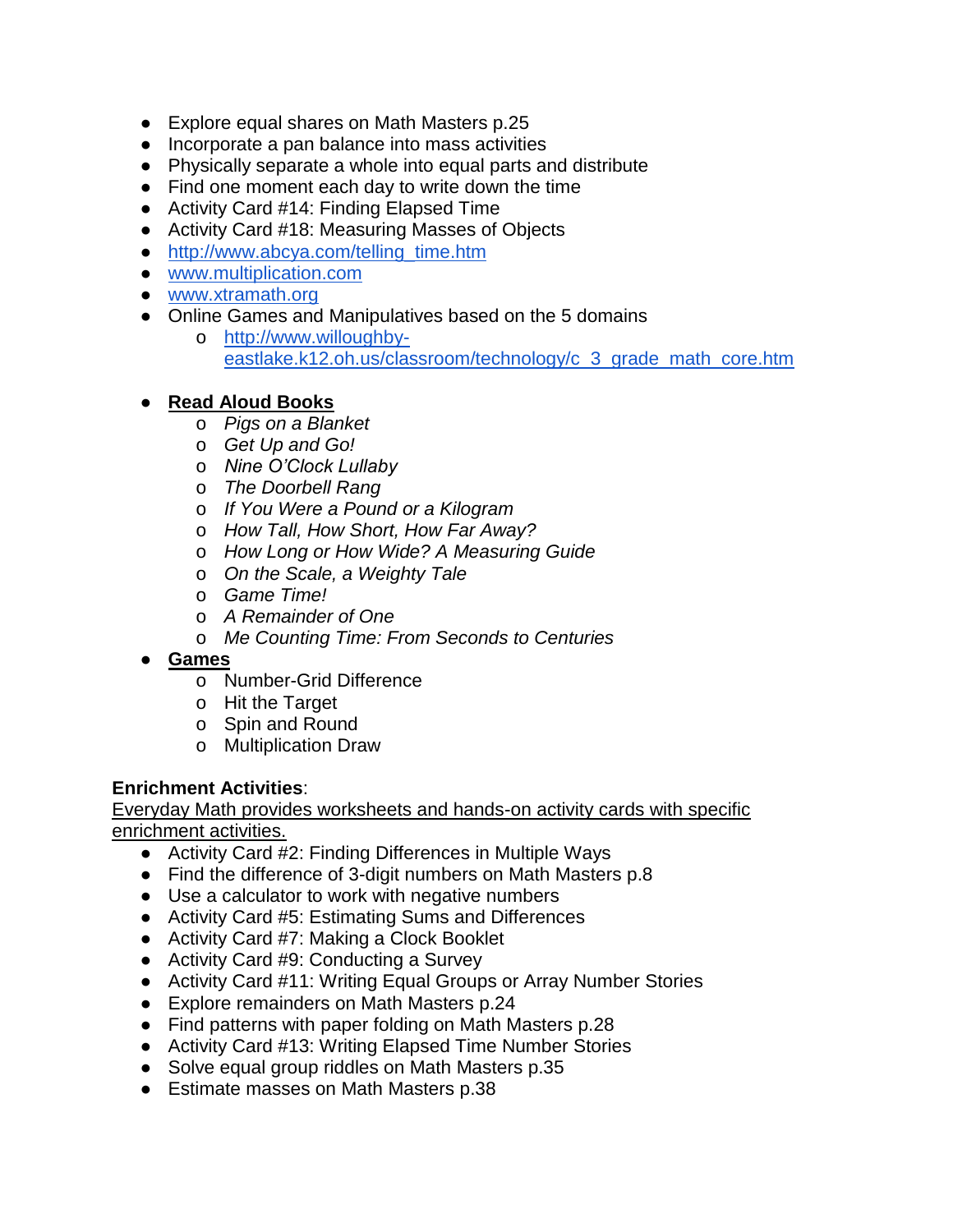- Explore equal shares on Math Masters p.25
- Incorporate a pan balance into mass activities
- Physically separate a whole into equal parts and distribute
- Find one moment each day to write down the time
- Activity Card #14: Finding Elapsed Time
- Activity Card #18: Measuring Masses of Objects
- [http://www.abcya.com/telling\\_time.htm](http://www.abcya.com/telling_time.htm)
- [www.multiplication.com](http://www.multiplication.com/)
- [www.xtramath.org](http://www.xtramath.org/)
- Online Games and Manipulatives based on the 5 domains
	- o [http://www.willoughby](http://www.willoughby-eastlake.k12.oh.us/classroom/technology/c_3_grade_math_core.htm)[eastlake.k12.oh.us/classroom/technology/c\\_3\\_grade\\_math\\_core.htm](http://www.willoughby-eastlake.k12.oh.us/classroom/technology/c_3_grade_math_core.htm)

#### ● **Read Aloud Books**

- o *Pigs on a Blanket*
- o *Get Up and Go!*
- o *Nine O'Clock Lullaby*
- o *The Doorbell Rang*
- o *If You Were a Pound or a Kilogram*
- o *How Tall, How Short, How Far Away?*
- o *How Long or How Wide? A Measuring Guide*
- o *On the Scale, a Weighty Tale*
- o *Game Time!*
- o *A Remainder of One*
- o *Me Counting Time: From Seconds to Centuries*

#### ● **Games**

- o Number-Grid Difference
- o Hit the Target
- o Spin and Round
- o Multiplication Draw

#### **Enrichment Activities**:

- Activity Card #2: Finding Differences in Multiple Ways
- Find the difference of 3-digit numbers on Math Masters p.8
- Use a calculator to work with negative numbers
- Activity Card #5: Estimating Sums and Differences
- Activity Card #7: Making a Clock Booklet
- Activity Card #9: Conducting a Survey
- Activity Card #11: Writing Equal Groups or Array Number Stories
- Explore remainders on Math Masters p.24
- Find patterns with paper folding on Math Masters p.28
- Activity Card #13: Writing Elapsed Time Number Stories
- Solve equal group riddles on Math Masters p.35
- Estimate masses on Math Masters p.38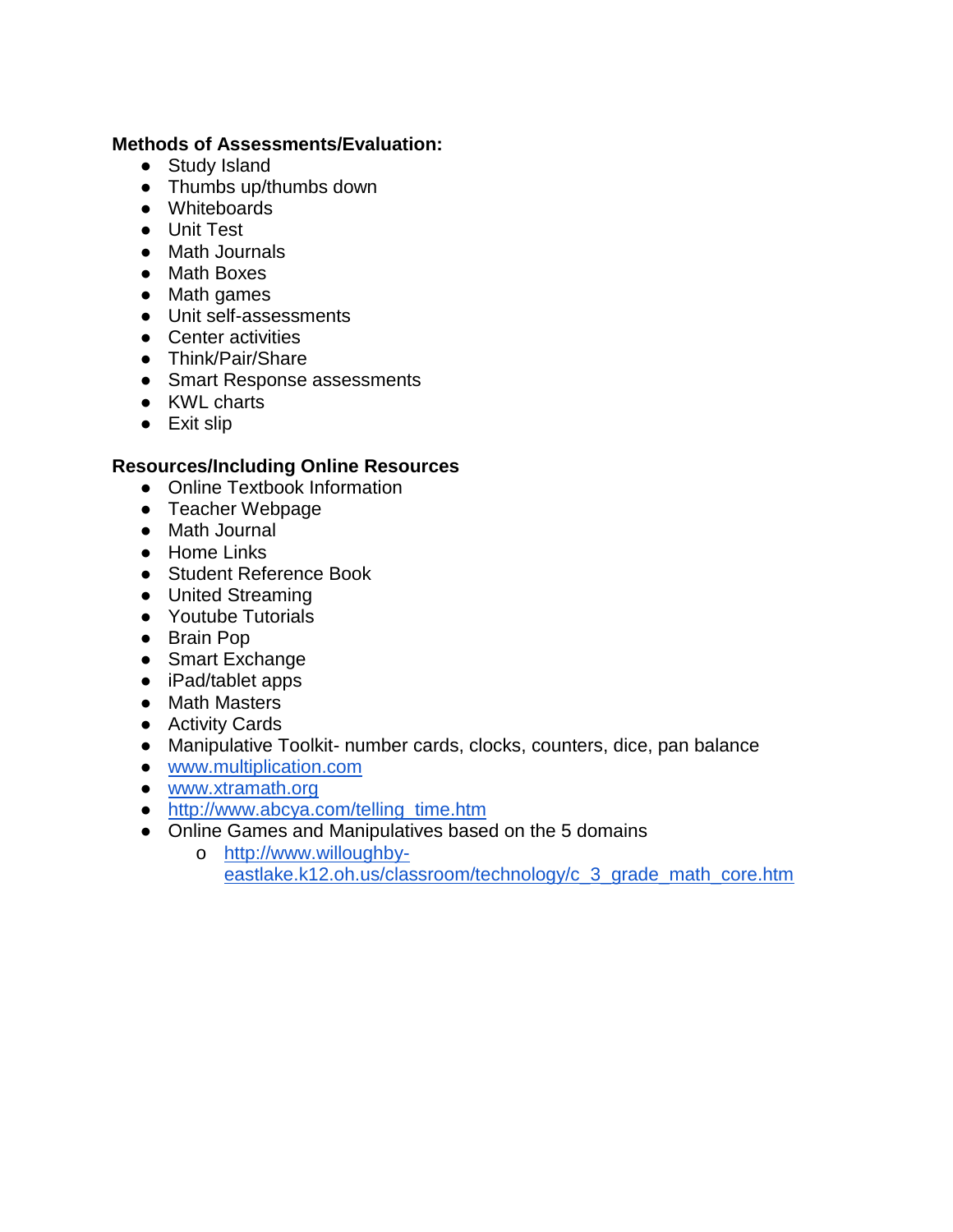#### **Methods of Assessments/Evaluation:**

- Study Island
- Thumbs up/thumbs down
- Whiteboards
- Unit Test
- Math Journals
- Math Boxes
- Math games
- Unit self-assessments
- Center activities
- Think/Pair/Share
- Smart Response assessments
- KWL charts
- Exit slip

- Online Textbook Information
- Teacher Webpage
- Math Journal
- Home Links
- Student Reference Book
- United Streaming
- Youtube Tutorials
- Brain Pop
- Smart Exchange
- iPad/tablet apps
- Math Masters
- Activity Cards
- Manipulative Toolkit- number cards, clocks, counters, dice, pan balance
- [www.multiplication.com](http://www.multiplication.com/)
- [www.xtramath.org](http://www.xtramath.org/)
- [http://www.abcya.com/telling\\_time.htm](http://www.abcya.com/telling_time.htm)
- Online Games and Manipulatives based on the 5 domains
	- o [http://www.willoughby](http://www.willoughby-eastlake.k12.oh.us/classroom/technology/c_3_grade_math_core.htm)[eastlake.k12.oh.us/classroom/technology/c\\_3\\_grade\\_math\\_core.htm](http://www.willoughby-eastlake.k12.oh.us/classroom/technology/c_3_grade_math_core.htm)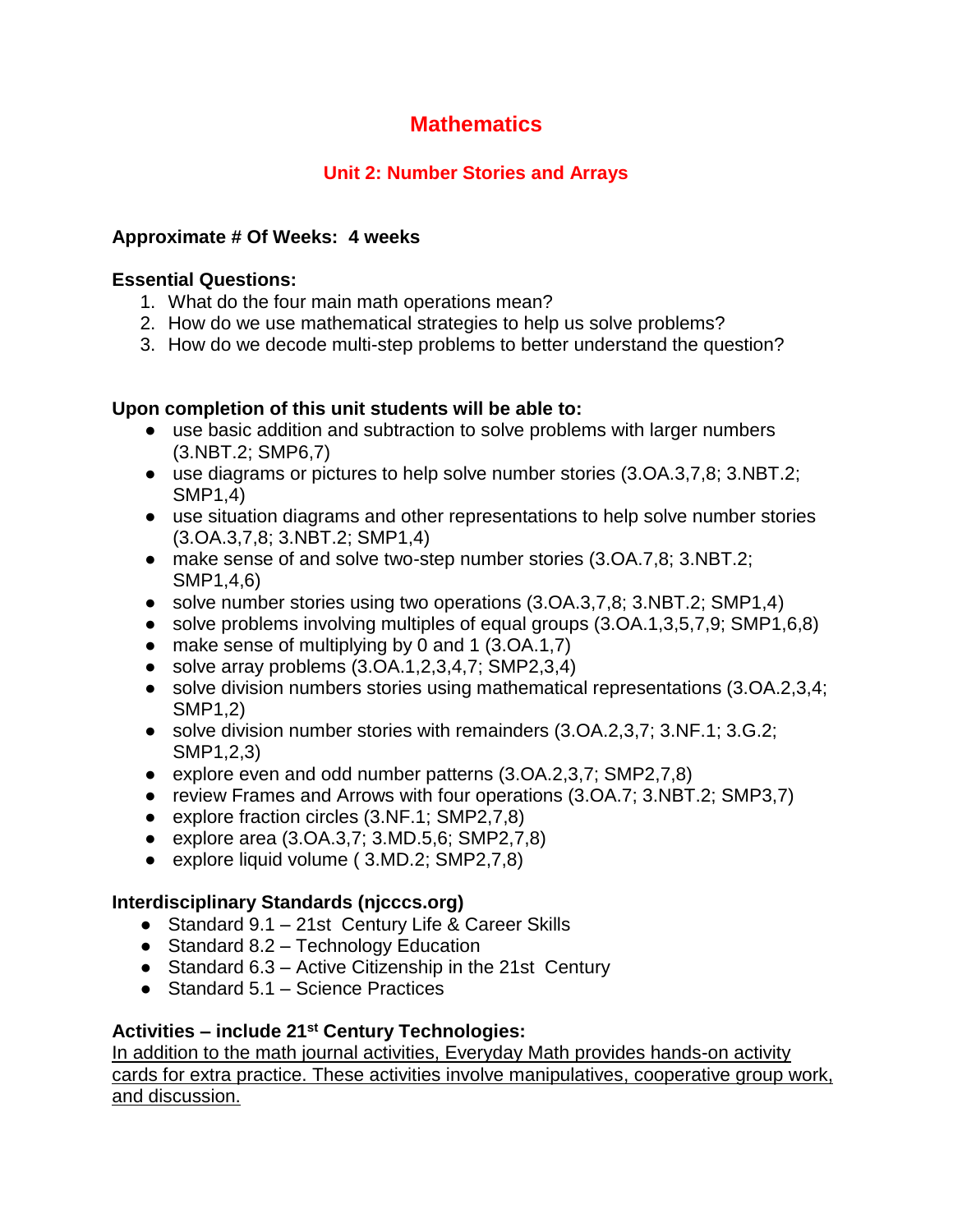## **Unit 2: Number Stories and Arrays**

#### **Approximate # Of Weeks: 4 weeks**

#### **Essential Questions:**

- 1. What do the four main math operations mean?
- 2. How do we use mathematical strategies to help us solve problems?
- 3. How do we decode multi-step problems to better understand the question?

#### **Upon completion of this unit students will be able to:**

- use basic addition and subtraction to solve problems with larger numbers (3.NBT.2; SMP6,7)
- use diagrams or pictures to help solve number stories (3.OA.3,7,8; 3.NBT.2; SMP1,4)
- use situation diagrams and other representations to help solve number stories (3.OA.3,7,8; 3.NBT.2; SMP1,4)
- make sense of and solve two-step number stories (3.OA.7,8; 3.NBT.2; SMP1,4,6)
- solve number stories using two operations (3.OA.3,7,8; 3.NBT.2; SMP1,4)
- solve problems involving multiples of equal groups (3.OA.1,3,5,7,9; SMP1,6,8)
- make sense of multiplying by 0 and 1  $(3.0A.1,7)$
- $\bullet$  solve array problems  $(3.0A.1, 2.3, 4.7; SMP2, 3.4)$
- solve division numbers stories using mathematical representations (3.OA.2,3,4; SMP1,2)
- solve division number stories with remainders (3.OA.2,3,7; 3.NF.1; 3.G.2; SMP1,2,3)
- explore even and odd number patterns (3.OA.2,3,7; SMP2,7,8)
- review Frames and Arrows with four operations (3.OA.7; 3.NBT.2; SMP3,7)
- explore fraction circles (3.NF.1; SMP2,7,8)
- explore area (3.OA.3,7; 3.MD.5,6; SMP2,7,8)
- explore liquid volume (3.MD.2; SMP2,7,8)

#### **Interdisciplinary Standards (njcccs.org)**

- Standard 9.1 21st Century Life & Career Skills
- Standard 8.2 Technology Education
- Standard 6.3 Active Citizenship in the 21st Century
- Standard 5.1 Science Practices

## **Activities – include 21st Century Technologies:**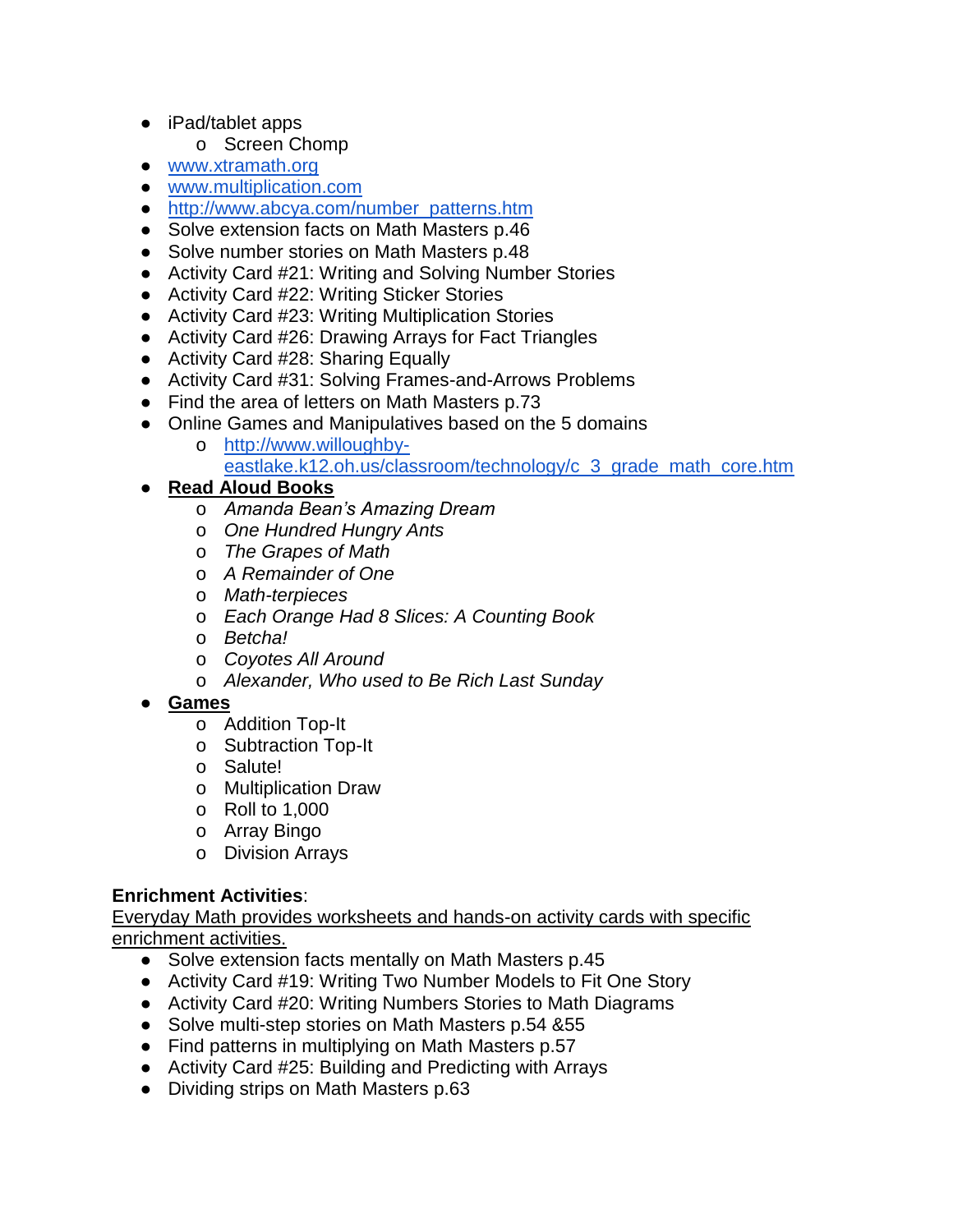- iPad/tablet apps
	- o Screen Chomp
- [www.xtramath.org](http://www.xtramath.org/)
- [www.multiplication.com](http://www.multiplication.com/)
- [http://www.abcya.com/number\\_patterns.htm](http://www.abcya.com/number_patterns.htm)
- Solve extension facts on Math Masters p.46
- Solve number stories on Math Masters p.48
- Activity Card #21: Writing and Solving Number Stories
- Activity Card #22: Writing Sticker Stories
- Activity Card #23: Writing Multiplication Stories
- Activity Card #26: Drawing Arrays for Fact Triangles
- Activity Card #28: Sharing Equally
- Activity Card #31: Solving Frames-and-Arrows Problems
- Find the area of letters on Math Masters p.73
- Online Games and Manipulatives based on the 5 domains
	- o [http://www.willoughby](http://www.willoughby-eastlake.k12.oh.us/classroom/technology/c_3_grade_math_core.htm)[eastlake.k12.oh.us/classroom/technology/c\\_3\\_grade\\_math\\_core.htm](http://www.willoughby-eastlake.k12.oh.us/classroom/technology/c_3_grade_math_core.htm)
- **Read Aloud Books**
	- o *Amanda Bean's Amazing Dream*
	- o *One Hundred Hungry Ants*
	- o *The Grapes of Math*
	- o *A Remainder of One*
	- o *Math-terpieces*
	- o *Each Orange Had 8 Slices: A Counting Book*
	- o *Betcha!*
	- o *Coyotes All Around*
	- o *Alexander, Who used to Be Rich Last Sunday*

#### ● **Games**

- o Addition Top-It
- o Subtraction Top-It
- o Salute!
- o Multiplication Draw
- o Roll to 1,000
- o Array Bingo
- o Division Arrays

#### **Enrichment Activities**:

- Solve extension facts mentally on Math Masters p.45
- Activity Card #19: Writing Two Number Models to Fit One Story
- Activity Card #20: Writing Numbers Stories to Math Diagrams
- Solve multi-step stories on Math Masters p.54 &55
- Find patterns in multiplying on Math Masters p.57
- Activity Card #25: Building and Predicting with Arrays
- Dividing strips on Math Masters p.63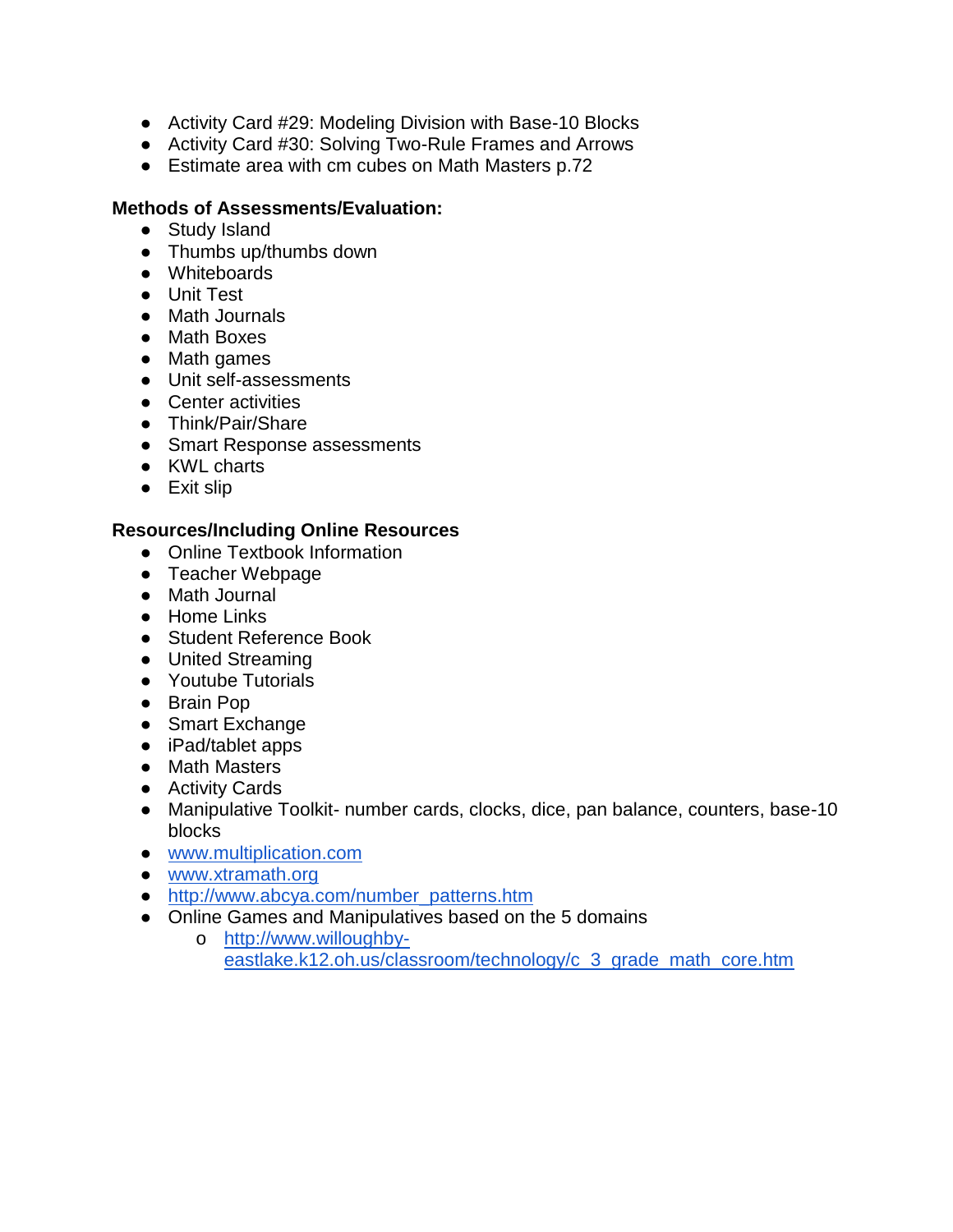- Activity Card #29: Modeling Division with Base-10 Blocks
- Activity Card #30: Solving Two-Rule Frames and Arrows
- Estimate area with cm cubes on Math Masters p.72

#### **Methods of Assessments/Evaluation:**

- Study Island
- Thumbs up/thumbs down
- Whiteboards
- Unit Test
- Math Journals
- Math Boxes
- Math games
- Unit self-assessments
- Center activities
- Think/Pair/Share
- Smart Response assessments
- KWL charts
- Exit slip

- Online Textbook Information
- Teacher Webpage
- Math Journal
- Home Links
- Student Reference Book
- United Streaming
- Youtube Tutorials
- Brain Pop
- Smart Exchange
- iPad/tablet apps
- Math Masters
- Activity Cards
- Manipulative Toolkit- number cards, clocks, dice, pan balance, counters, base-10 blocks
- [www.multiplication.com](http://www.multiplication.com/)
- [www.xtramath.org](http://www.xtramath.org/)
- [http://www.abcya.com/number\\_patterns.htm](http://www.abcya.com/number_patterns.htm)
- Online Games and Manipulatives based on the 5 domains
	- o [http://www.willoughby](http://www.willoughby-eastlake.k12.oh.us/classroom/technology/c_3_grade_math_core.htm)[eastlake.k12.oh.us/classroom/technology/c\\_3\\_grade\\_math\\_core.htm](http://www.willoughby-eastlake.k12.oh.us/classroom/technology/c_3_grade_math_core.htm)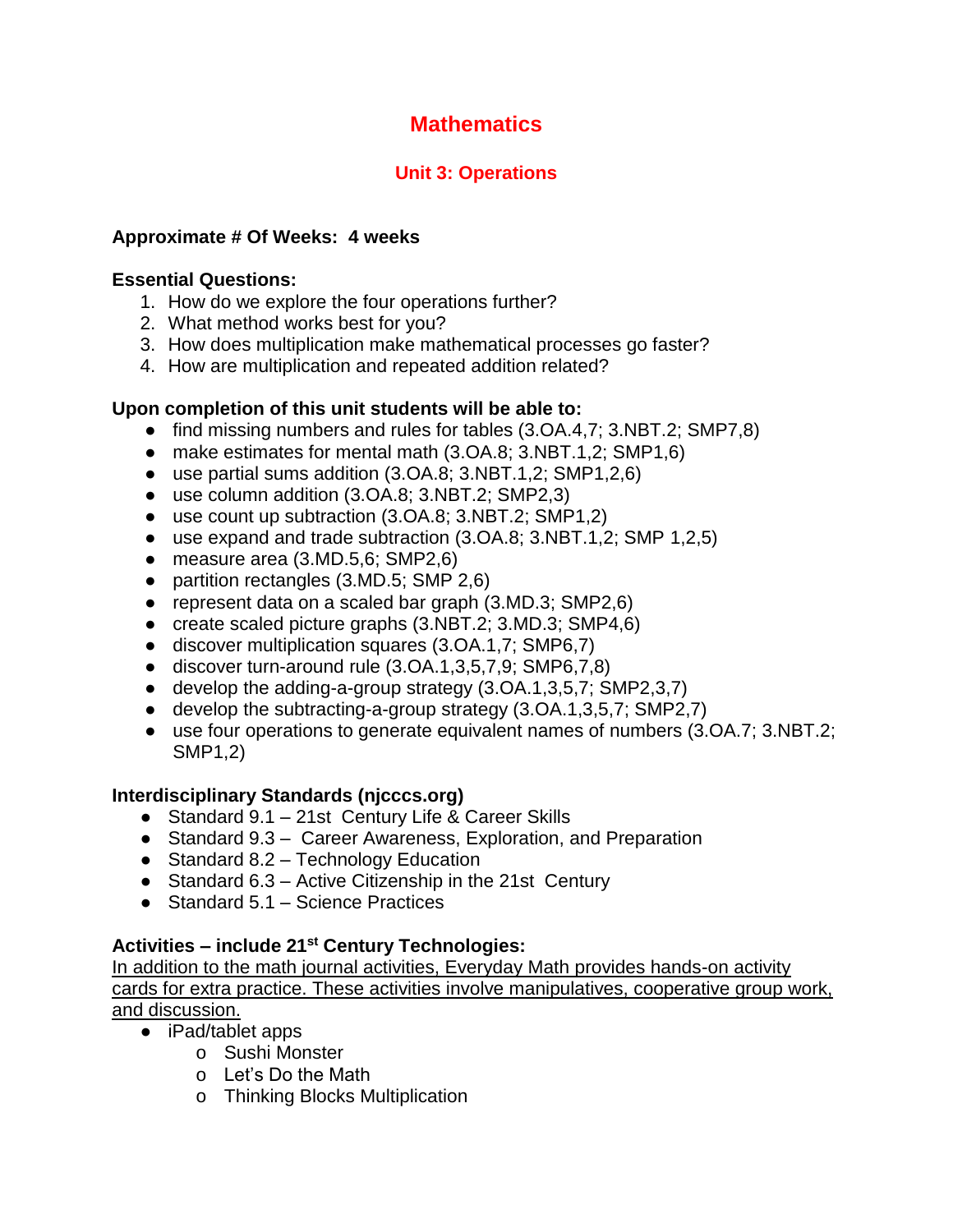## **Unit 3: Operations**

## **Approximate # Of Weeks: 4 weeks**

#### **Essential Questions:**

- 1. How do we explore the four operations further?
- 2. What method works best for you?
- 3. How does multiplication make mathematical processes go faster?
- 4. How are multiplication and repeated addition related?

## **Upon completion of this unit students will be able to:**

- find missing numbers and rules for tables (3.OA.4.7; 3.NBT.2; SMP7.8)
- make estimates for mental math (3.OA.8; 3.NBT.1,2; SMP1,6)
- $\bullet$  use partial sums addition (3.0A.8; 3.NBT.1,2; SMP1,2,6)
- use column addition (3.OA.8; 3.NBT.2; SMP2,3)
- use count up subtraction (3.OA.8; 3.NBT.2; SMP1,2)
- use expand and trade subtraction (3.OA.8; 3.NBT.1,2; SMP 1,2,5)
- $\bullet$  measure area (3.MD.5,6; SMP2,6)
- partition rectangles (3.MD.5; SMP 2,6)
- represent data on a scaled bar graph (3.MD.3; SMP2,6)
- create scaled picture graphs (3.NBT.2; 3.MD.3; SMP4,6)
- discover multiplication squares (3.OA.1,7; SMP6,7)
- $\bullet$  discover turn-around rule  $(3.0A.1, 3.5, 7.9; SMP6, 7.8)$
- $\bullet$  develop the adding-a-group strategy  $(3.0A.1, 3.5, 7; SMP2, 3.7)$
- develop the subtracting-a-group strategy (3.OA.1,3,5,7; SMP2,7)
- use four operations to generate equivalent names of numbers (3.OA.7; 3.NBT.2; SMP1,2)

## **Interdisciplinary Standards (njcccs.org)**

- Standard 9.1 21st Century Life & Career Skills
- Standard 9.3 Career Awareness, Exploration, and Preparation
- Standard 8.2 Technology Education
- Standard 6.3 Active Citizenship in the 21st Century
- Standard 5.1 Science Practices

## **Activities – include 21st Century Technologies:**

- iPad/tablet apps
	- o Sushi Monster
	- o Let's Do the Math
	- o Thinking Blocks Multiplication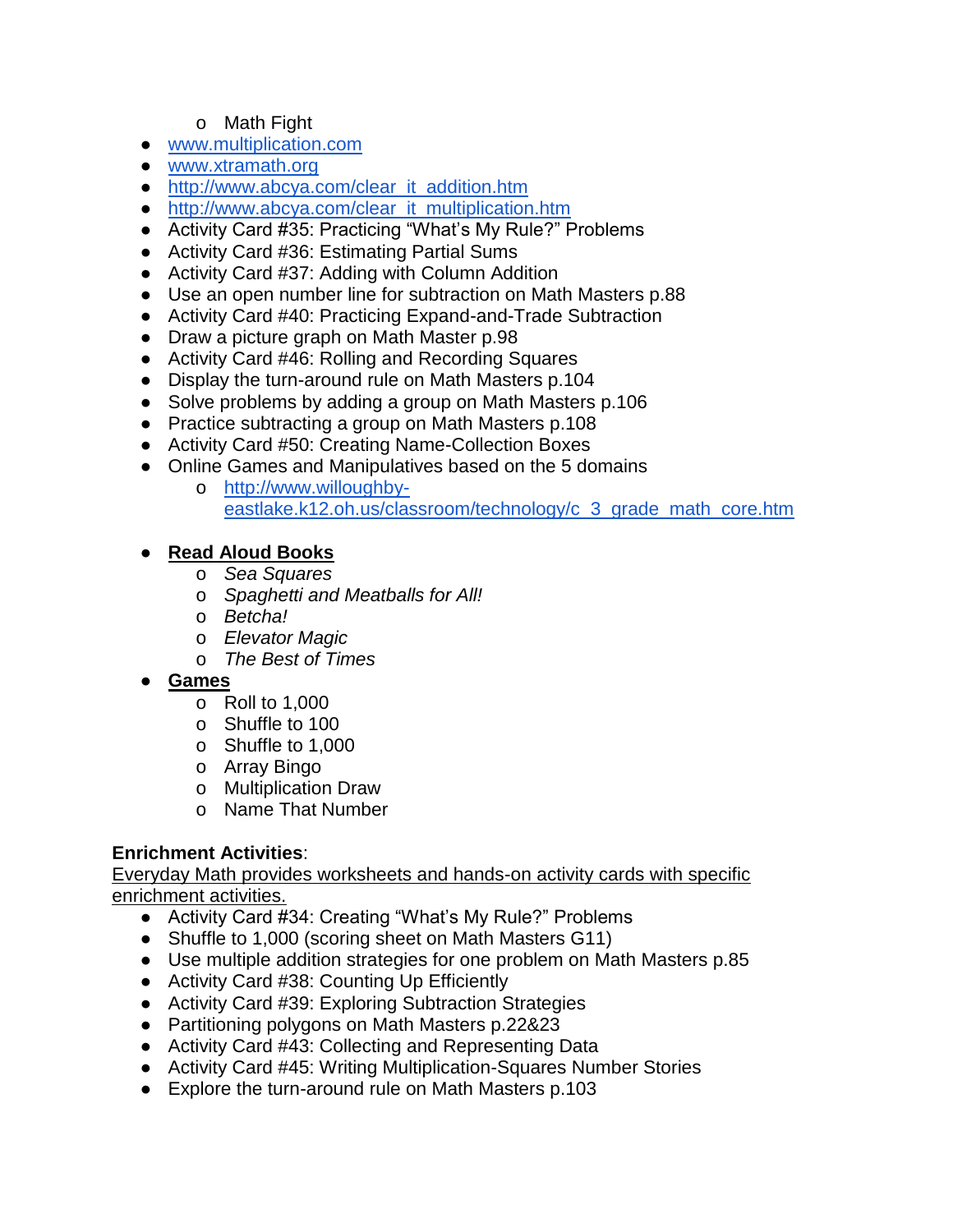#### o Math Fight

- [www.multiplication.com](http://www.multiplication.com/)
- [www.xtramath.org](http://www.xtramath.org/)
- [http://www.abcya.com/clear\\_it\\_addition.htm](http://www.abcya.com/clear_it_addition.htm)
- [http://www.abcya.com/clear\\_it\\_multiplication.htm](http://www.abcya.com/clear_it_multiplication.htm)
- Activity Card #35: Practicing "What's My Rule?" Problems
- Activity Card #36: Estimating Partial Sums
- Activity Card #37: Adding with Column Addition
- Use an open number line for subtraction on Math Masters p.88
- Activity Card #40: Practicing Expand-and-Trade Subtraction
- Draw a picture graph on Math Master p.98
- Activity Card #46: Rolling and Recording Squares
- Display the turn-around rule on Math Masters p.104
- Solve problems by adding a group on Math Masters p.106
- Practice subtracting a group on Math Masters p.108
- Activity Card #50: Creating Name-Collection Boxes
- Online Games and Manipulatives based on the 5 domains
	- o [http://www.willoughby](http://www.willoughby-eastlake.k12.oh.us/classroom/technology/c_3_grade_math_core.htm)[eastlake.k12.oh.us/classroom/technology/c\\_3\\_grade\\_math\\_core.htm](http://www.willoughby-eastlake.k12.oh.us/classroom/technology/c_3_grade_math_core.htm)

#### ● **Read Aloud Books**

- o *Sea Squares*
- o *Spaghetti and Meatballs for All!*
- o *Betcha!*
- o *Elevator Magic*
- o *The Best of Times*
- **Games**
	- o Roll to 1,000
	- o Shuffle to 100
	- o Shuffle to 1,000
	- o Array Bingo
	- o Multiplication Draw
	- o Name That Number

## **Enrichment Activities**:

- Activity Card #34: Creating "What's My Rule?" Problems
- Shuffle to 1,000 (scoring sheet on Math Masters G11)
- Use multiple addition strategies for one problem on Math Masters p.85
- Activity Card #38: Counting Up Efficiently
- Activity Card #39: Exploring Subtraction Strategies
- Partitioning polygons on Math Masters p.22&23
- Activity Card #43: Collecting and Representing Data
- Activity Card #45: Writing Multiplication-Squares Number Stories
- Explore the turn-around rule on Math Masters p.103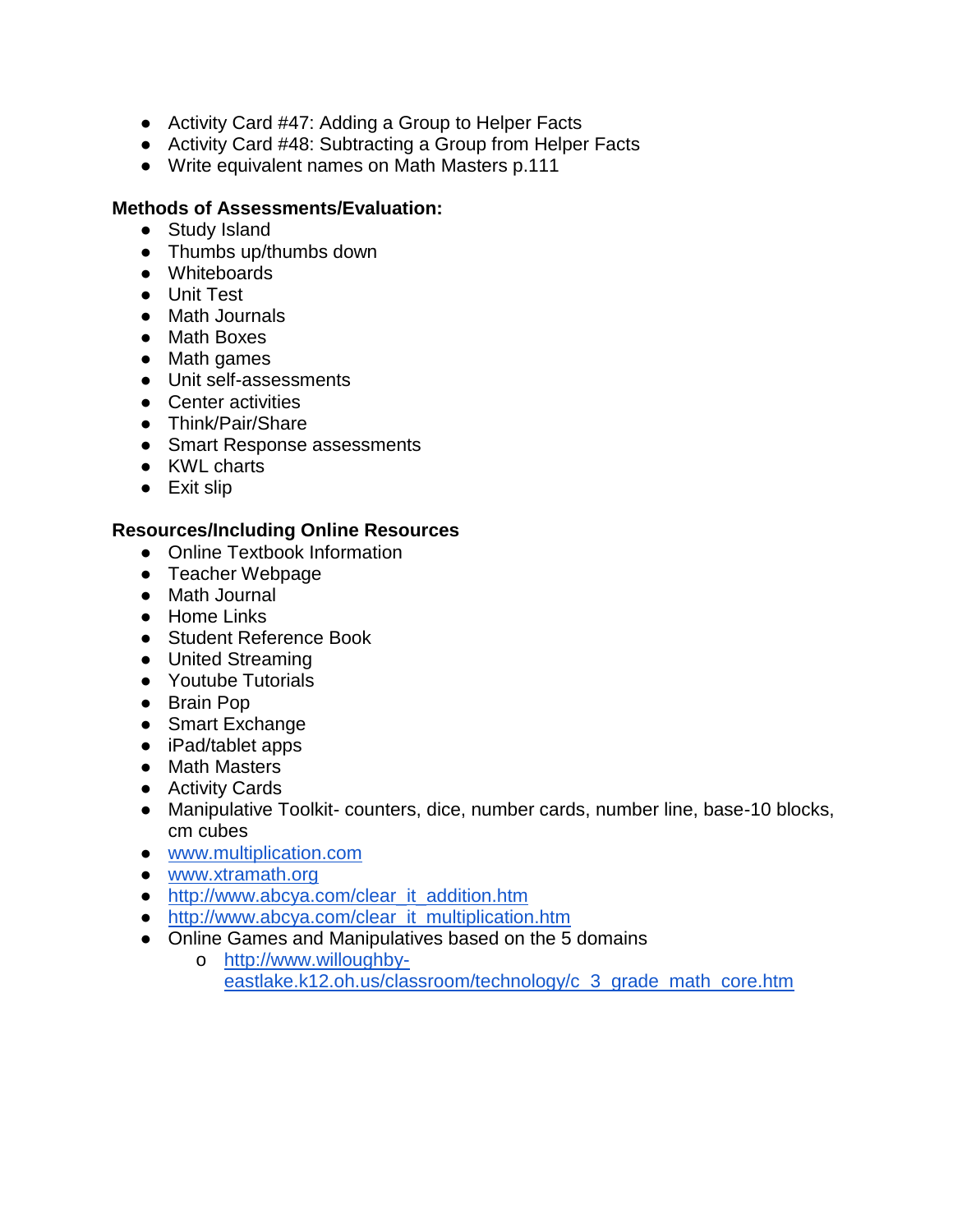- Activity Card #47: Adding a Group to Helper Facts
- Activity Card #48: Subtracting a Group from Helper Facts
- Write equivalent names on Math Masters p.111

#### **Methods of Assessments/Evaluation:**

- Study Island
- Thumbs up/thumbs down
- Whiteboards
- Unit Test
- Math Journals
- Math Boxes
- Math games
- Unit self-assessments
- Center activities
- Think/Pair/Share
- Smart Response assessments
- KWL charts
- Exit slip

- Online Textbook Information
- Teacher Webpage
- Math Journal
- Home Links
- Student Reference Book
- United Streaming
- Youtube Tutorials
- Brain Pop
- Smart Exchange
- iPad/tablet apps
- Math Masters
- Activity Cards
- Manipulative Toolkit- counters, dice, number cards, number line, base-10 blocks, cm cubes
- [www.multiplication.com](http://www.multiplication.com/)
- [www.xtramath.org](http://www.xtramath.org/)
- [http://www.abcya.com/clear\\_it\\_addition.htm](http://www.abcya.com/clear_it_addition.htm)
- [http://www.abcya.com/clear\\_it\\_multiplication.htm](http://www.abcya.com/clear_it_multiplication.htm)
- Online Games and Manipulatives based on the 5 domains
	- o [http://www.willoughby](http://www.willoughby-eastlake.k12.oh.us/classroom/technology/c_3_grade_math_core.htm)[eastlake.k12.oh.us/classroom/technology/c\\_3\\_grade\\_math\\_core.htm](http://www.willoughby-eastlake.k12.oh.us/classroom/technology/c_3_grade_math_core.htm)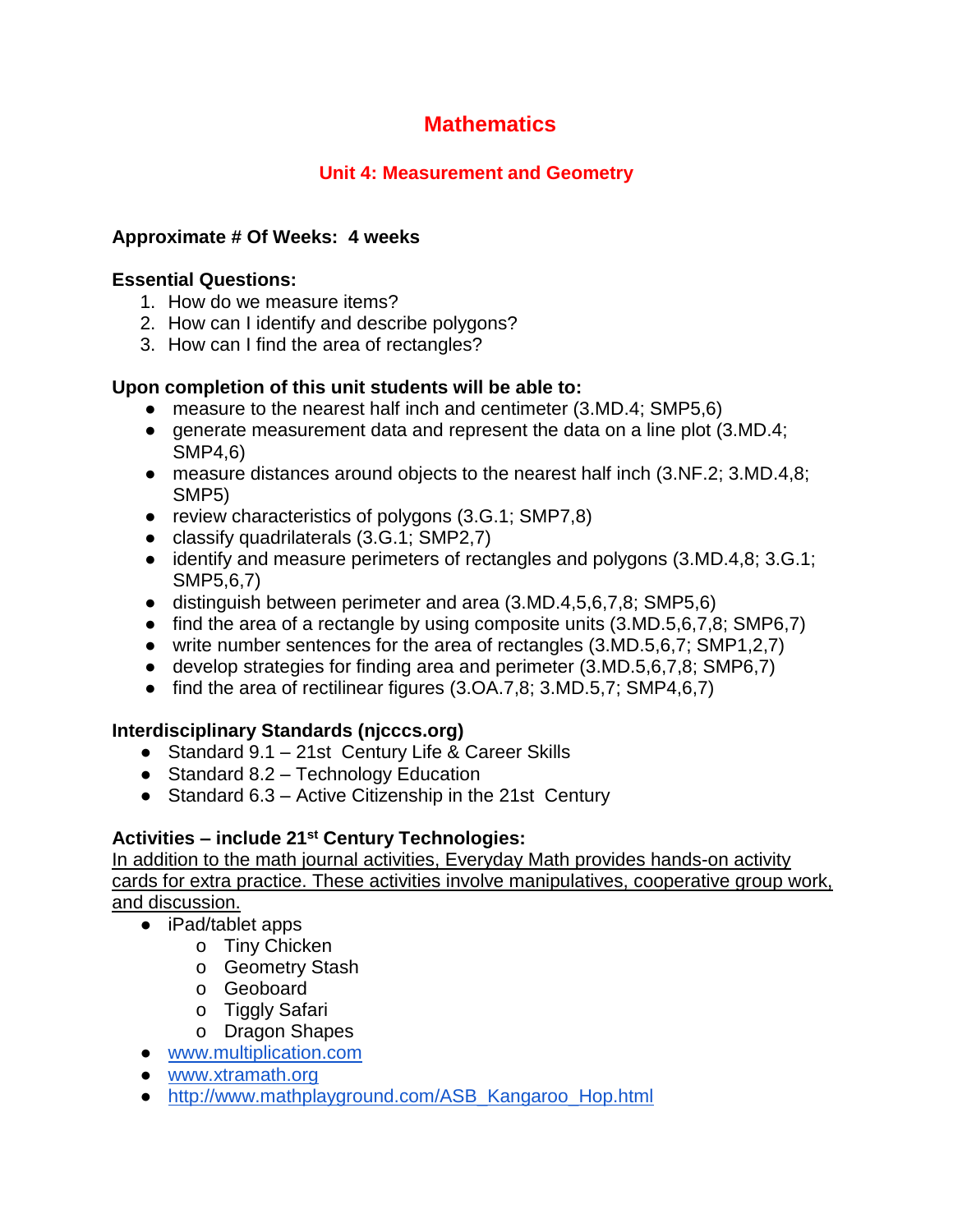## **Unit 4: Measurement and Geometry**

## **Approximate # Of Weeks: 4 weeks**

#### **Essential Questions:**

- 1. How do we measure items?
- 2. How can I identify and describe polygons?
- 3. How can I find the area of rectangles?

#### **Upon completion of this unit students will be able to:**

- measure to the nearest half inch and centimeter (3.MD.4; SMP5,6)
- generate measurement data and represent the data on a line plot (3.MD.4; SMP4,6)
- measure distances around objects to the nearest half inch (3.NF.2; 3.MD.4,8; SMP5)
- review characteristics of polygons (3.G.1; SMP7,8)
- classify quadrilaterals (3.G.1; SMP2,7)
- identify and measure perimeters of rectangles and polygons (3.MD.4,8; 3.G.1; SMP5,6,7)
- distinguish between perimeter and area (3.MD.4,5,6,7,8; SMP5,6)
- find the area of a rectangle by using composite units  $(3.MD.5,6,7,8; SMP6,7)$
- write number sentences for the area of rectangles (3.MD.5,6,7; SMP1,2,7)
- develop strategies for finding area and perimeter (3.MD.5,6,7,8; SMP6,7)
- find the area of rectilinear figures (3.OA.7,8; 3.MD.5,7; SMP4,6,7)

## **Interdisciplinary Standards (njcccs.org)**

- Standard 9.1 21st Century Life & Career Skills
- $\bullet$  Standard 8.2 Technology Education
- Standard 6.3 Active Citizenship in the 21st Century

## **Activities – include 21st Century Technologies:**

- iPad/tablet apps
	- o Tiny Chicken
		- o Geometry Stash
		- o Geoboard
		- o Tiggly Safari
		- o Dragon Shapes
- [www.multiplication.com](http://www.multiplication.com/)
- [www.xtramath.org](http://www.xtramath.org/)
- [http://www.mathplayground.com/ASB\\_Kangaroo\\_Hop.html](http://www.mathplayground.com/ASB_Kangaroo_Hop.html)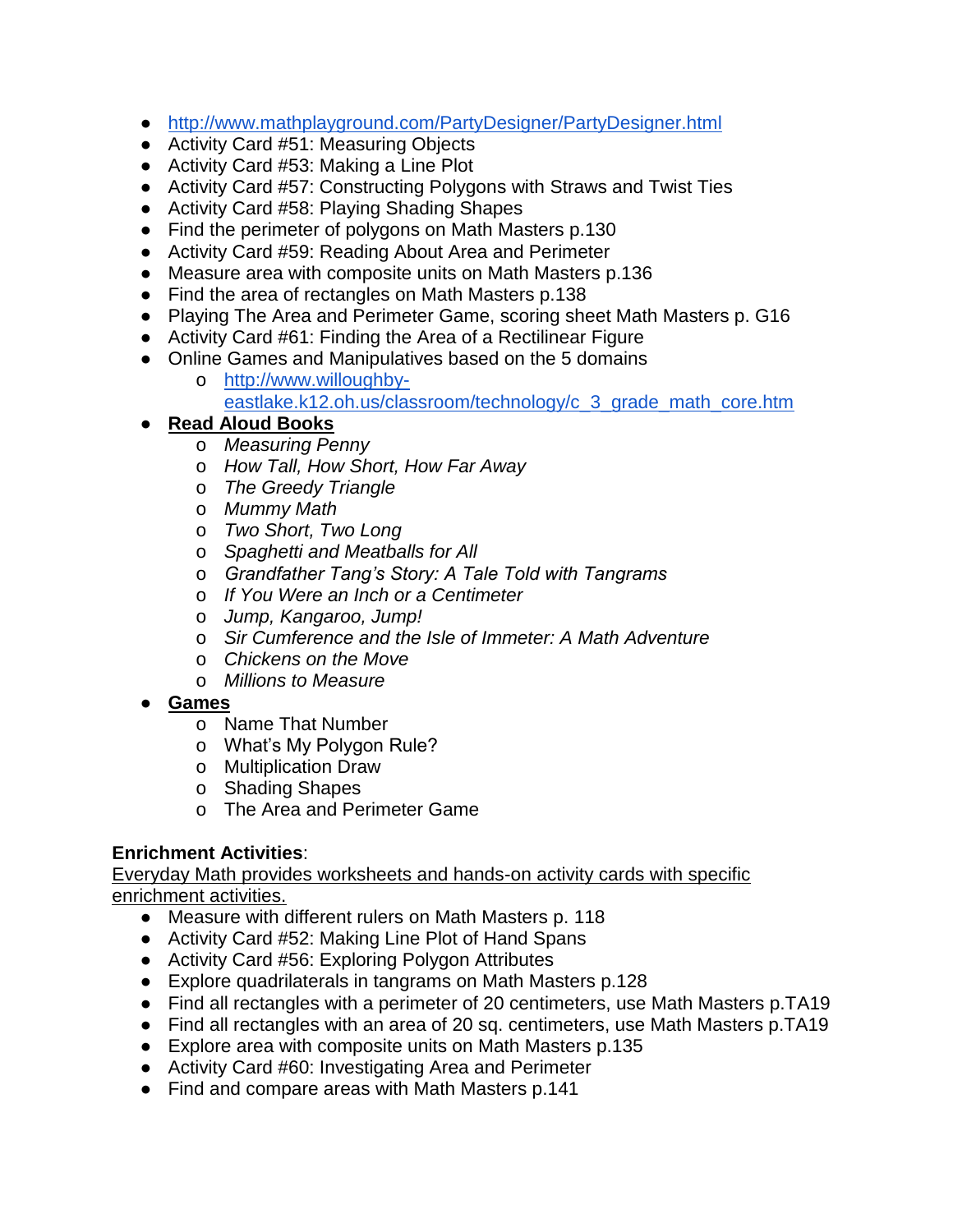- <http://www.mathplayground.com/PartyDesigner/PartyDesigner.html>
- Activity Card #51: Measuring Objects
- Activity Card #53: Making a Line Plot
- Activity Card #57: Constructing Polygons with Straws and Twist Ties
- Activity Card #58: Playing Shading Shapes
- Find the perimeter of polygons on Math Masters p.130
- Activity Card #59: Reading About Area and Perimeter
- Measure area with composite units on Math Masters p.136
- Find the area of rectangles on Math Masters p.138
- Playing The Area and Perimeter Game, scoring sheet Math Masters p. G16
- Activity Card #61: Finding the Area of a Rectilinear Figure
- Online Games and Manipulatives based on the 5 domains
	- o [http://www.willoughby](http://www.willoughby-eastlake.k12.oh.us/classroom/technology/c_3_grade_math_core.htm)[eastlake.k12.oh.us/classroom/technology/c\\_3\\_grade\\_math\\_core.htm](http://www.willoughby-eastlake.k12.oh.us/classroom/technology/c_3_grade_math_core.htm)

## ● **Read Aloud Books**

- o *Measuring Penny*
- o *How Tall, How Short, How Far Away*
- o *The Greedy Triangle*
- o *Mummy Math*
- o *Two Short, Two Long*
- o *Spaghetti and Meatballs for All*
- o *Grandfather Tang's Story: A Tale Told with Tangrams*
- o *If You Were an Inch or a Centimeter*
- o *Jump, Kangaroo, Jump!*
- o *Sir Cumference and the Isle of Immeter: A Math Adventure*
- o *Chickens on the Move*
- o *Millions to Measure*
- **Games**
	- o Name That Number
	- o What's My Polygon Rule?
	- o Multiplication Draw
	- o Shading Shapes
	- o The Area and Perimeter Game

#### **Enrichment Activities**:

- Measure with different rulers on Math Masters p. 118
- Activity Card #52: Making Line Plot of Hand Spans
- Activity Card #56: Exploring Polygon Attributes
- Explore quadrilaterals in tangrams on Math Masters p.128
- Find all rectangles with a perimeter of 20 centimeters, use Math Masters p.TA19
- Find all rectangles with an area of 20 sq. centimeters, use Math Masters p.TA19
- Explore area with composite units on Math Masters p.135
- Activity Card #60: Investigating Area and Perimeter
- Find and compare areas with Math Masters p.141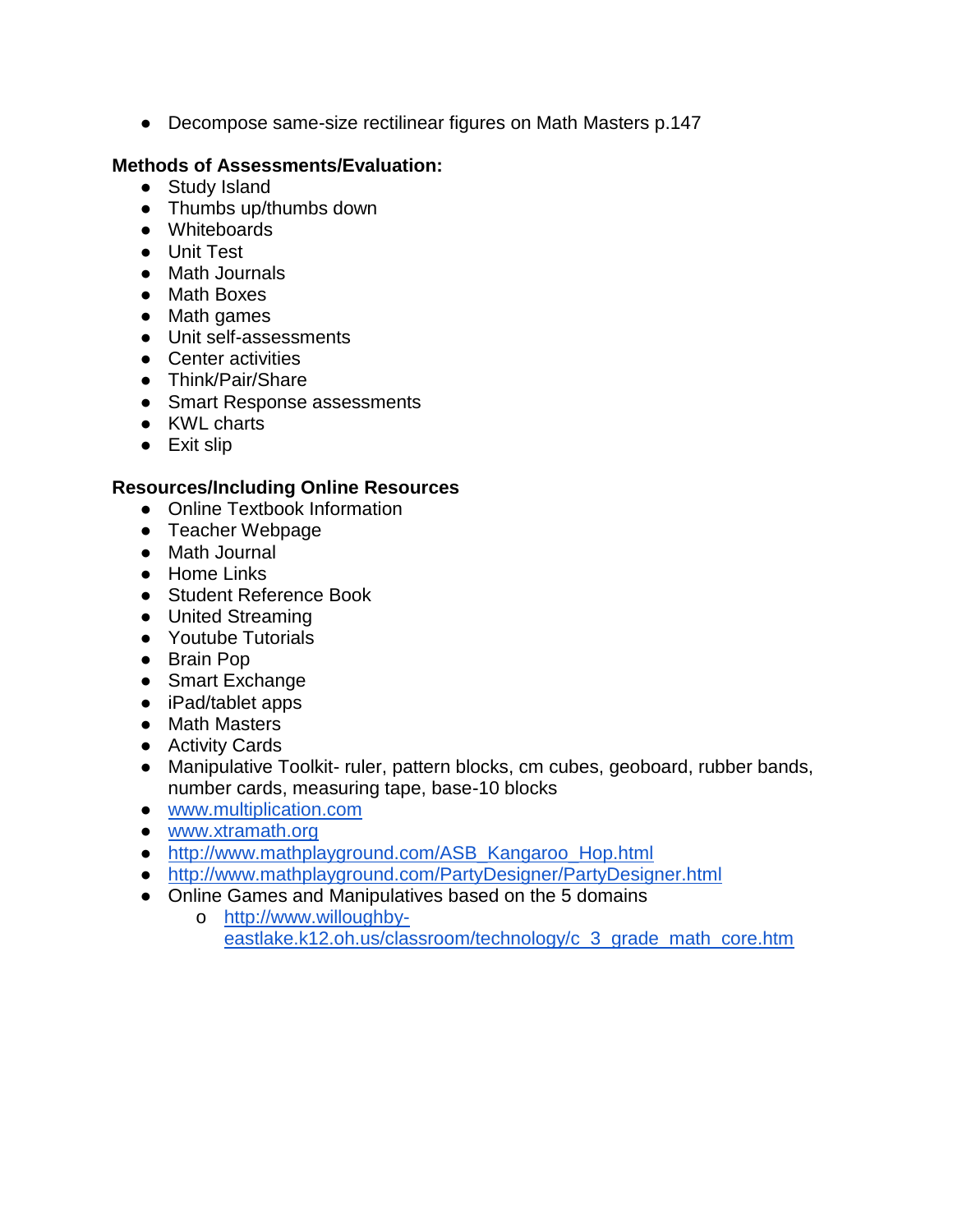● Decompose same-size rectilinear figures on Math Masters p.147

#### **Methods of Assessments/Evaluation:**

- Study Island
- Thumbs up/thumbs down
- Whiteboards
- Unit Test
- Math Journals
- Math Boxes
- Math games
- Unit self-assessments
- Center activities
- Think/Pair/Share
- Smart Response assessments
- KWL charts
- Exit slip

- Online Textbook Information
- Teacher Webpage
- Math Journal
- Home Links
- Student Reference Book
- United Streaming
- Youtube Tutorials
- Brain Pop
- Smart Exchange
- iPad/tablet apps
- Math Masters
- Activity Cards
- Manipulative Toolkit- ruler, pattern blocks, cm cubes, geoboard, rubber bands, number cards, measuring tape, base-10 blocks
- [www.multiplication.com](http://www.multiplication.com/)
- [www.xtramath.org](http://www.xtramath.org/)
- [http://www.mathplayground.com/ASB\\_Kangaroo\\_Hop.html](http://www.mathplayground.com/ASB_Kangaroo_Hop.html)
- <http://www.mathplayground.com/PartyDesigner/PartyDesigner.html>
- Online Games and Manipulatives based on the 5 domains
	- o [http://www.willoughby](http://www.willoughby-eastlake.k12.oh.us/classroom/technology/c_3_grade_math_core.htm)[eastlake.k12.oh.us/classroom/technology/c\\_3\\_grade\\_math\\_core.htm](http://www.willoughby-eastlake.k12.oh.us/classroom/technology/c_3_grade_math_core.htm)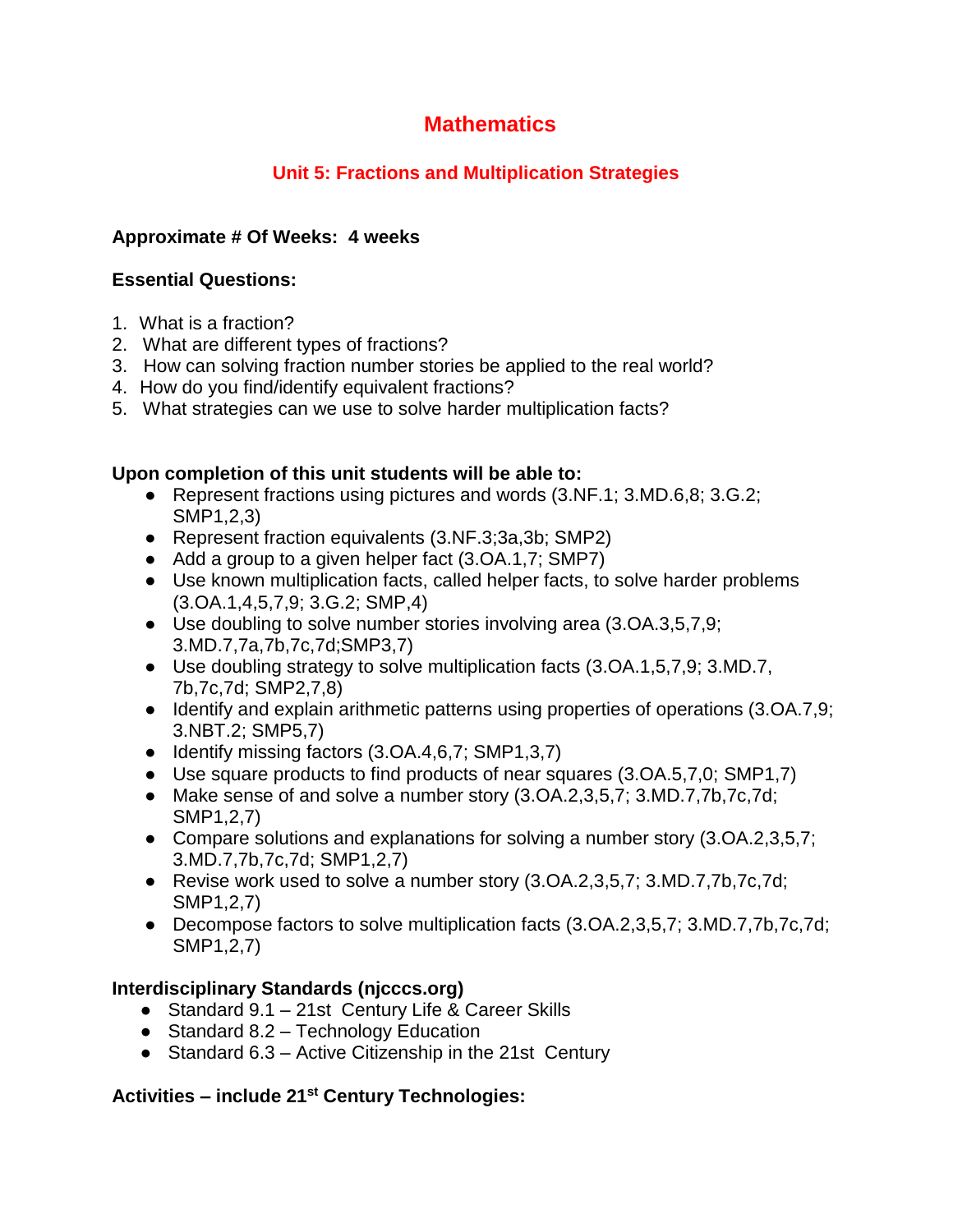## **Unit 5: Fractions and Multiplication Strategies**

## **Approximate # Of Weeks: 4 weeks**

## **Essential Questions:**

- 1. What is a fraction?
- 2. What are different types of fractions?
- 3. How can solving fraction number stories be applied to the real world?
- 4. How do you find/identify equivalent fractions?
- 5. What strategies can we use to solve harder multiplication facts?

#### **Upon completion of this unit students will be able to:**

- Represent fractions using pictures and words (3.NF.1; 3.MD.6,8; 3.G.2; SMP1,2,3)
- Represent fraction equivalents (3.NF.3;3a,3b; SMP2)
- Add a group to a given helper fact (3.OA.1,7; SMP7)
- Use known multiplication facts, called helper facts, to solve harder problems (3.OA.1,4,5,7,9; 3.G.2; SMP,4)
- Use doubling to solve number stories involving area (3.OA.3,5,7,9; 3.MD.7,7a,7b,7c,7d;SMP3,7)
- Use doubling strategy to solve multiplication facts (3.OA.1,5,7,9; 3.MD.7, 7b,7c,7d; SMP2,7,8)
- Identify and explain arithmetic patterns using properties of operations (3.OA.7,9; 3.NBT.2; SMP5,7)
- Identify missing factors (3.OA.4,6,7; SMP1,3,7)
- Use square products to find products of near squares (3.0A.5,7,0; SMP1,7)
- Make sense of and solve a number story (3.OA.2,3,5,7; 3.MD.7,7b,7c,7d; SMP1,2,7)
- Compare solutions and explanations for solving a number story (3.OA.2,3,5,7; 3.MD.7,7b,7c,7d; SMP1,2,7)
- Revise work used to solve a number story (3.OA.2,3,5,7; 3.MD.7,7b,7c,7d; SMP1,2,7)
- Decompose factors to solve multiplication facts (3.OA.2,3,5,7; 3.MD.7,7b,7c,7d; SMP1,2,7)

## **Interdisciplinary Standards (njcccs.org)**

- Standard 9.1 21st Century Life & Career Skills
- Standard 8.2 Technology Education
- Standard 6.3 Active Citizenship in the 21st Century

## **Activities – include 21st Century Technologies:**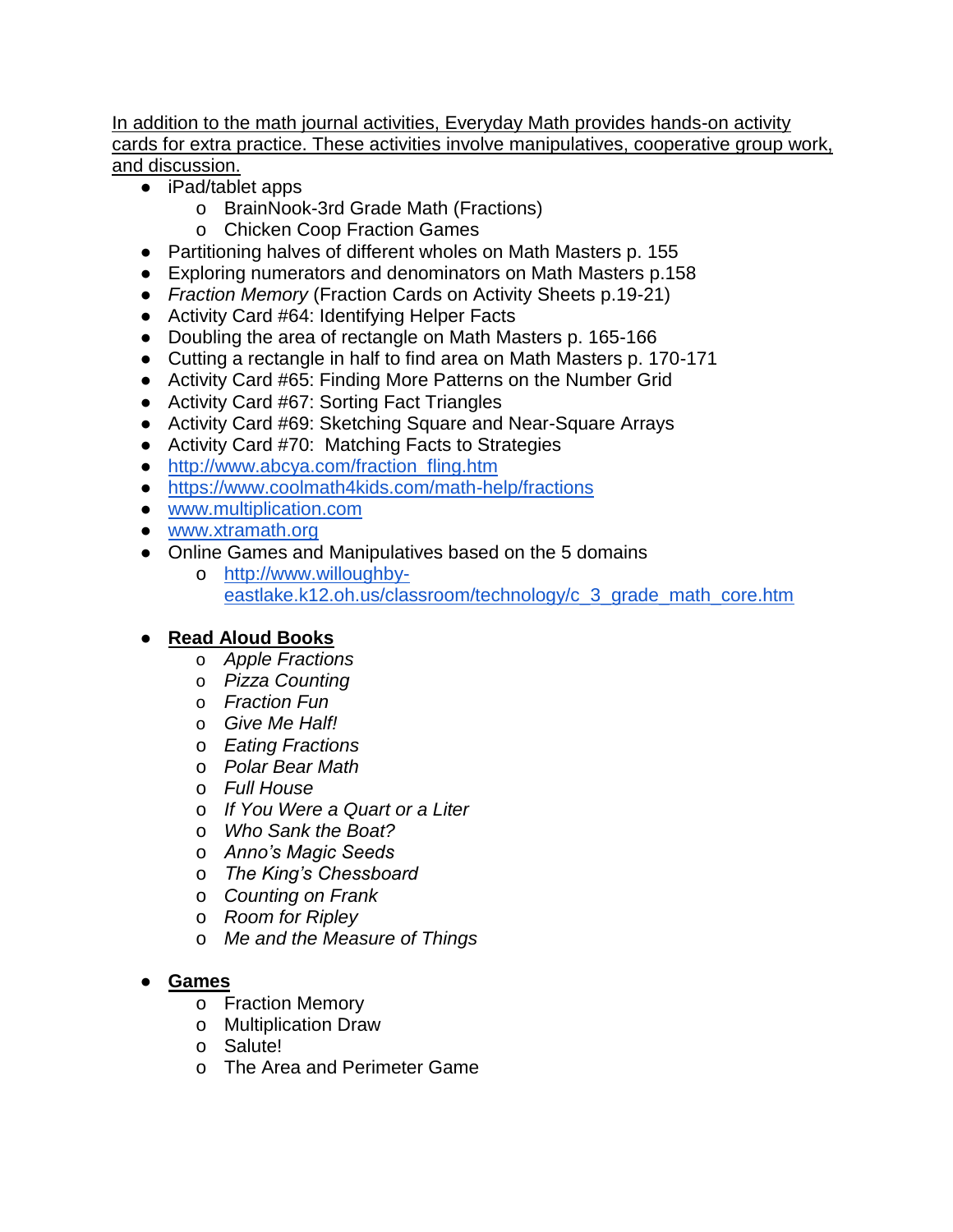In addition to the math journal activities, Everyday Math provides hands-on activity cards for extra practice. These activities involve manipulatives, cooperative group work, and discussion.

- iPad/tablet apps
	- o BrainNook-3rd Grade Math (Fractions)
	- o Chicken Coop Fraction Games
- Partitioning halves of different wholes on Math Masters p. 155
- Exploring numerators and denominators on Math Masters p.158
- *Fraction Memory* (Fraction Cards on Activity Sheets p.19-21)
- Activity Card #64: Identifying Helper Facts
- Doubling the area of rectangle on Math Masters p. 165-166
- Cutting a rectangle in half to find area on Math Masters p. 170-171
- Activity Card #65: Finding More Patterns on the Number Grid
- Activity Card #67: Sorting Fact Triangles
- Activity Card #69: Sketching Square and Near-Square Arrays
- Activity Card #70: Matching Facts to Strategies
- [http://www.abcya.com/fraction\\_fling.htm](http://www.abcya.com/fraction_fling.htm)
- <https://www.coolmath4kids.com/math-help/fractions>
- [www.multiplication.com](http://www.multiplication.com/)
- [www.xtramath.org](http://www.xtramath.org/)
- Online Games and Manipulatives based on the 5 domains
	- o [http://www.willoughby](http://www.willoughby-eastlake.k12.oh.us/classroom/technology/c_3_grade_math_core.htm)[eastlake.k12.oh.us/classroom/technology/c\\_3\\_grade\\_math\\_core.htm](http://www.willoughby-eastlake.k12.oh.us/classroom/technology/c_3_grade_math_core.htm)

## ● **Read Aloud Books**

- o *Apple Fractions*
- o *Pizza Counting*
- o *Fraction Fun*
- o *Give Me Half!*
- o *Eating Fractions*
- o *Polar Bear Math*
- o *Full House*
- o *If You Were a Quart or a Liter*
- o *Who Sank the Boat?*
- o *Anno's Magic Seeds*
- o *The King's Chessboard*
- o *Counting on Frank*
- o *Room for Ripley*
- o *Me and the Measure of Things*

## ● **Games**

- o Fraction Memory
- o Multiplication Draw
- o Salute!
- o The Area and Perimeter Game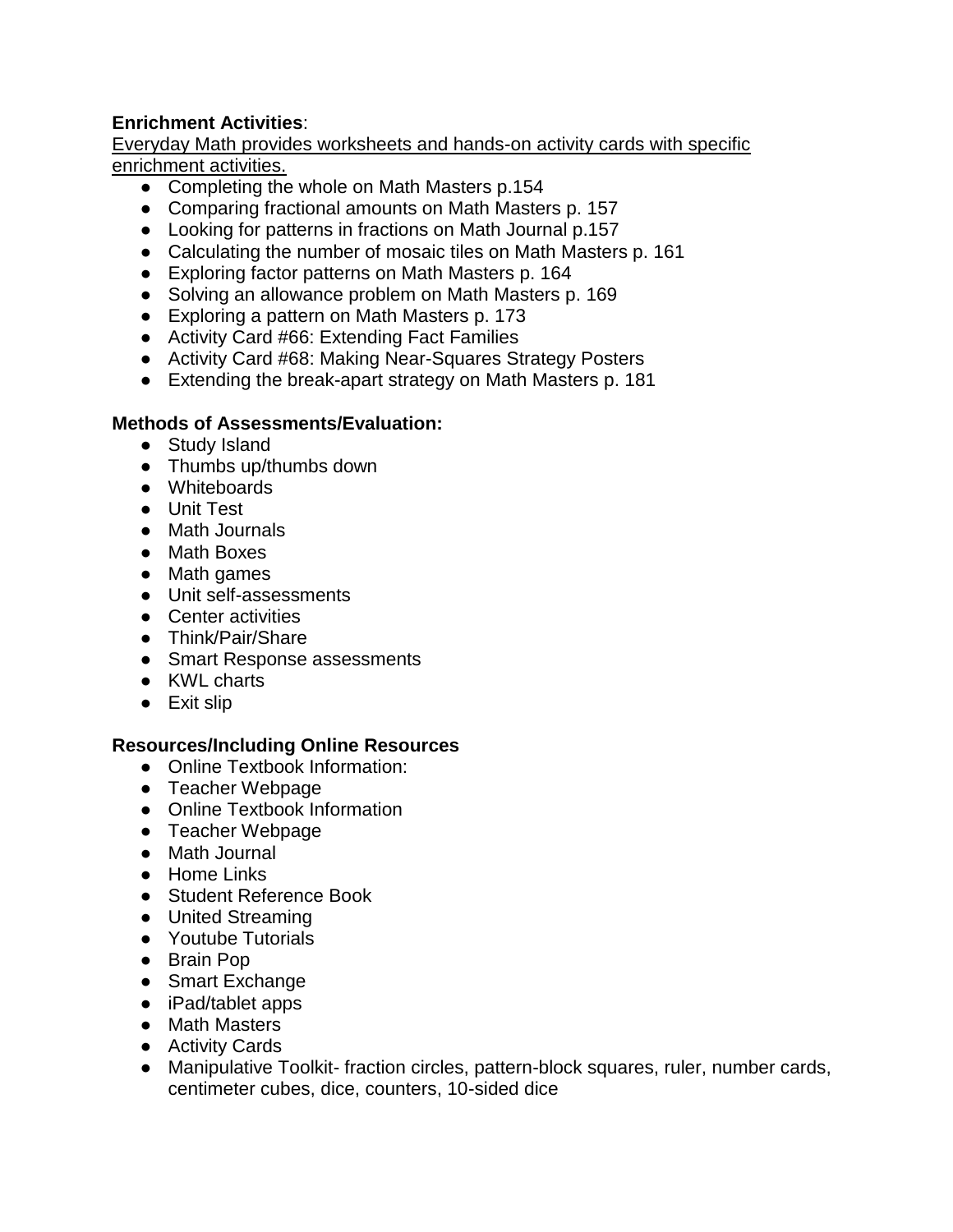## **Enrichment Activities**:

Everyday Math provides worksheets and hands-on activity cards with specific enrichment activities.

- Completing the whole on Math Masters p.154
- Comparing fractional amounts on Math Masters p. 157
- Looking for patterns in fractions on Math Journal p.157
- Calculating the number of mosaic tiles on Math Masters p. 161
- Exploring factor patterns on Math Masters p. 164
- Solving an allowance problem on Math Masters p. 169
- Exploring a pattern on Math Masters p. 173
- Activity Card #66: Extending Fact Families
- Activity Card #68: Making Near-Squares Strategy Posters
- Extending the break-apart strategy on Math Masters p. 181

#### **Methods of Assessments/Evaluation:**

- Study Island
- Thumbs up/thumbs down
- Whiteboards
- Unit Test
- Math Journals
- Math Boxes
- Math games
- Unit self-assessments
- Center activities
- Think/Pair/Share
- Smart Response assessments
- KWL charts
- Exit slip

- Online Textbook Information:
- Teacher Webpage
- Online Textbook Information
- Teacher Webpage
- Math Journal
- Home Links
- Student Reference Book
- United Streaming
- Youtube Tutorials
- Brain Pop
- Smart Exchange
- iPad/tablet apps
- Math Masters
- Activity Cards
- Manipulative Toolkit- fraction circles, pattern-block squares, ruler, number cards, centimeter cubes, dice, counters, 10-sided dice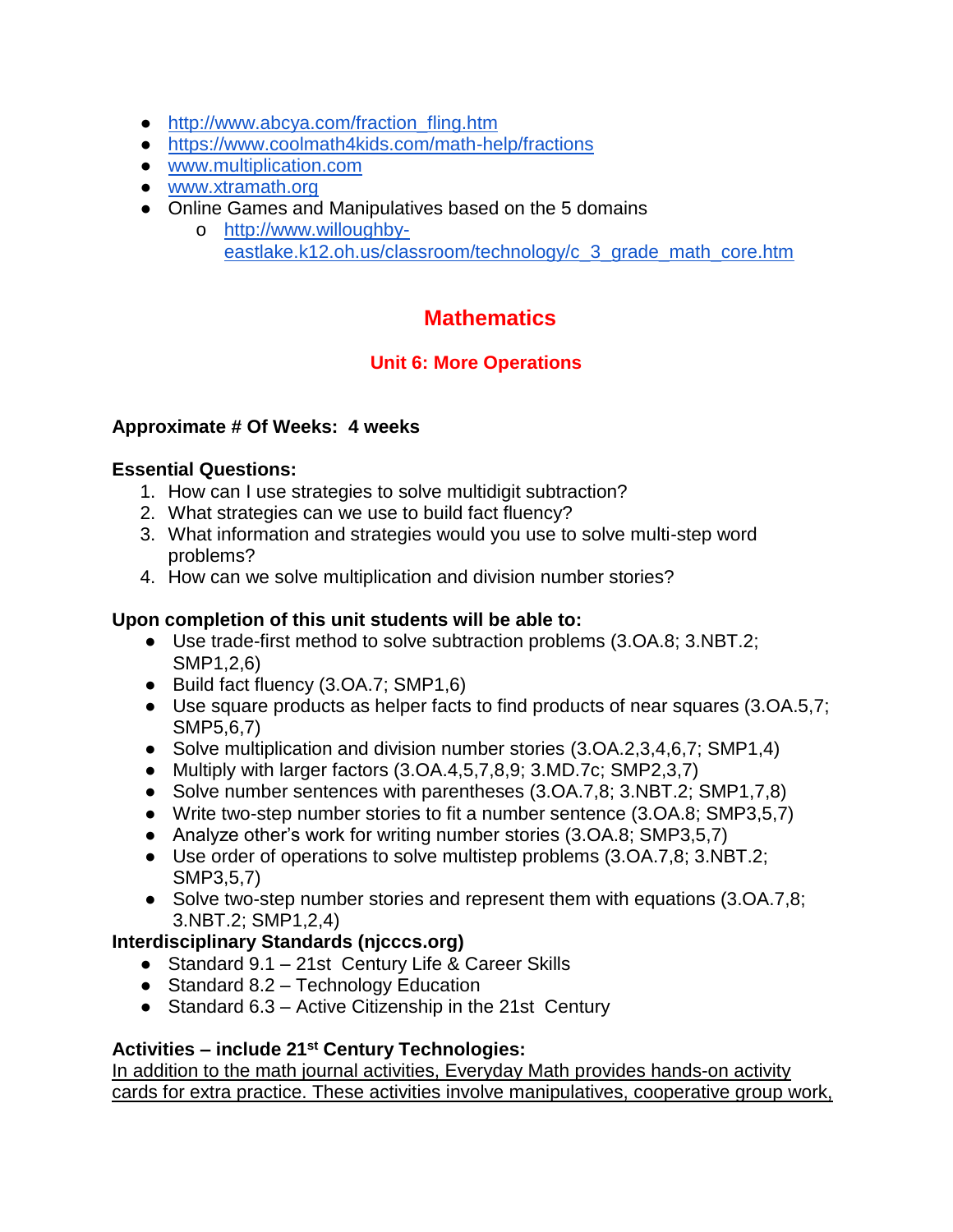- [http://www.abcya.com/fraction\\_fling.htm](http://www.abcya.com/fraction_fling.htm)
- <https://www.coolmath4kids.com/math-help/fractions>
- [www.multiplication.com](http://www.multiplication.com/)
- [www.xtramath.org](http://www.xtramath.org/)
- Online Games and Manipulatives based on the 5 domains
	- o [http://www.willoughby](http://www.willoughby-eastlake.k12.oh.us/classroom/technology/c_3_grade_math_core.htm)[eastlake.k12.oh.us/classroom/technology/c\\_3\\_grade\\_math\\_core.htm](http://www.willoughby-eastlake.k12.oh.us/classroom/technology/c_3_grade_math_core.htm)

## **Unit 6: More Operations**

## **Approximate # Of Weeks: 4 weeks**

## **Essential Questions:**

- 1. How can I use strategies to solve multidigit subtraction?
- 2. What strategies can we use to build fact fluency?
- 3. What information and strategies would you use to solve multi-step word problems?
- 4. How can we solve multiplication and division number stories?

## **Upon completion of this unit students will be able to:**

- Use trade-first method to solve subtraction problems (3.OA.8; 3.NBT.2; SMP1,2,6)
- Build fact fluency (3.OA.7; SMP1,6)
- Use square products as helper facts to find products of near squares (3.OA.5,7; SMP5,6,7)
- Solve multiplication and division number stories (3.OA.2,3,4,6,7; SMP1,4)
- Multiply with larger factors (3.OA.4,5,7,8,9; 3.MD.7c; SMP2,3,7)
- Solve number sentences with parentheses (3.OA.7,8; 3.NBT.2; SMP1,7,8)
- Write two-step number stories to fit a number sentence (3.OA.8; SMP3,5,7)
- Analyze other's work for writing number stories (3.OA.8; SMP3,5,7)
- Use order of operations to solve multistep problems (3.OA.7,8; 3.NBT.2; SMP3,5,7)
- Solve two-step number stories and represent them with equations (3.OA.7,8; 3.NBT.2; SMP1,2,4)

## **Interdisciplinary Standards (njcccs.org)**

- Standard 9.1 21st Century Life & Career Skills
- Standard 8.2 Technology Education
- Standard 6.3 Active Citizenship in the 21st Century

## **Activities – include 21st Century Technologies:**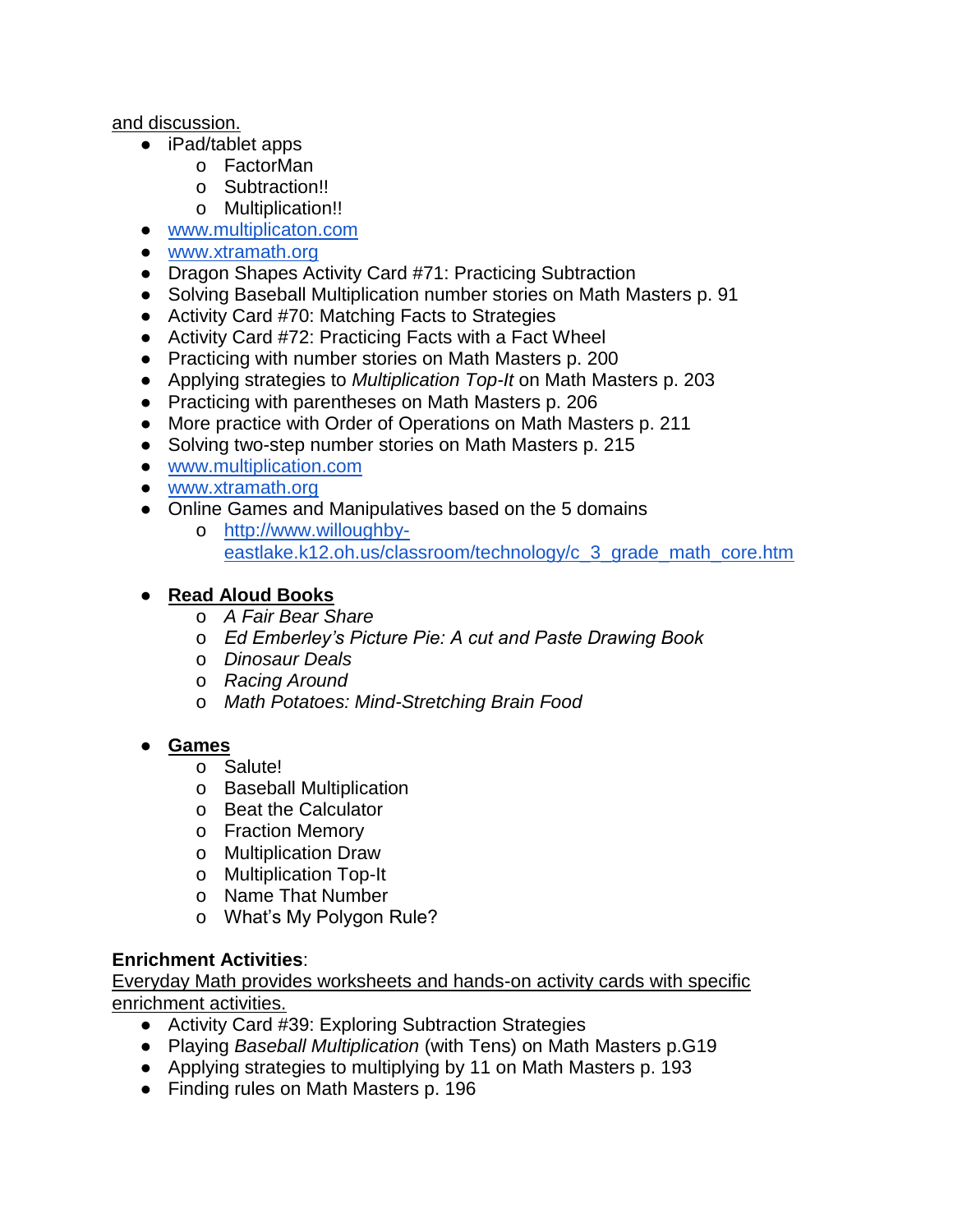#### and discussion.

- iPad/tablet apps
	- o FactorMan
	- o Subtraction!!
	- o Multiplication!!
- [www.multiplicaton.com](http://www.multiplicaton.com/)
- [www.xtramath.org](http://www.xtramath.org/)
- Dragon Shapes Activity Card #71: Practicing Subtraction
- Solving Baseball Multiplication number stories on Math Masters p. 91
- Activity Card #70: Matching Facts to Strategies
- Activity Card #72: Practicing Facts with a Fact Wheel
- Practicing with number stories on Math Masters p. 200
- Applying strategies to *Multiplication Top-It* on Math Masters p. 203
- Practicing with parentheses on Math Masters p. 206
- More practice with Order of Operations on Math Masters p. 211
- Solving two-step number stories on Math Masters p. 215
- [www.multiplication.com](http://www.multiplication.com/)
- [www.xtramath.org](http://www.xtramath.org/)
- Online Games and Manipulatives based on the 5 domains
	- o [http://www.willoughby](http://www.willoughby-eastlake.k12.oh.us/classroom/technology/c_3_grade_math_core.htm)[eastlake.k12.oh.us/classroom/technology/c\\_3\\_grade\\_math\\_core.htm](http://www.willoughby-eastlake.k12.oh.us/classroom/technology/c_3_grade_math_core.htm)

#### ● **Read Aloud Books**

- o *A Fair Bear Share*
- o *Ed Emberley's Picture Pie: A cut and Paste Drawing Book*
- o *Dinosaur Deals*
- o *Racing Around*
- o *Math Potatoes: Mind-Stretching Brain Food*

## ● **Games**

- o Salute!
- o Baseball Multiplication
- o Beat the Calculator
- o Fraction Memory
- o Multiplication Draw
- o Multiplication Top-It
- o Name That Number
- o What's My Polygon Rule?

#### **Enrichment Activities**:

- Activity Card #39: Exploring Subtraction Strategies
- Playing *Baseball Multiplication* (with Tens) on Math Masters p.G19
- Applying strategies to multiplying by 11 on Math Masters p. 193
- Finding rules on Math Masters p. 196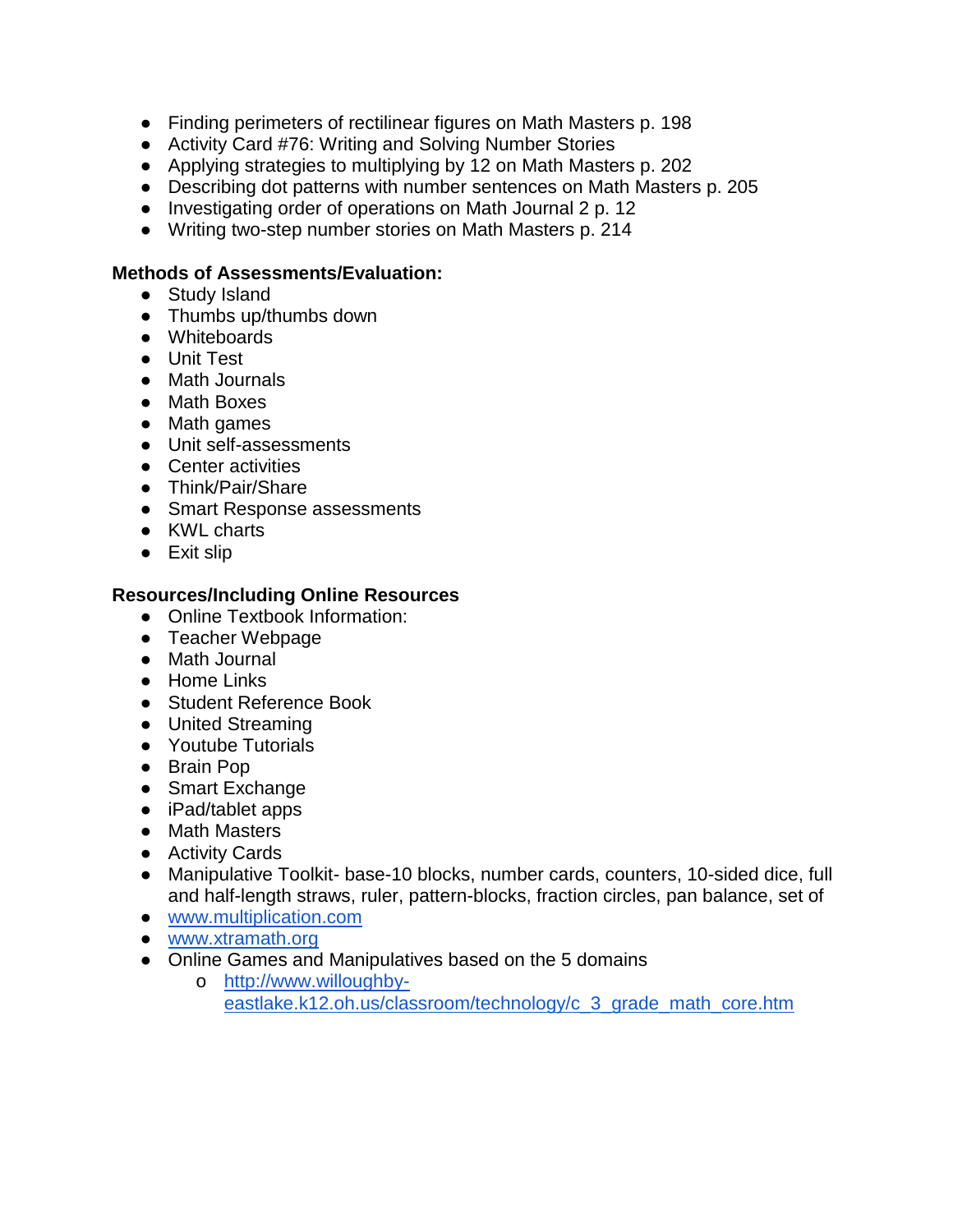- Finding perimeters of rectilinear figures on Math Masters p. 198
- Activity Card #76: Writing and Solving Number Stories
- Applying strategies to multiplying by 12 on Math Masters p. 202
- Describing dot patterns with number sentences on Math Masters p. 205
- Investigating order of operations on Math Journal 2 p. 12
- Writing two-step number stories on Math Masters p. 214

#### **Methods of Assessments/Evaluation:**

- Study Island
- Thumbs up/thumbs down
- Whiteboards
- Unit Test
- Math Journals
- Math Boxes
- Math games
- Unit self-assessments
- Center activities
- Think/Pair/Share
- Smart Response assessments
- KWL charts
- Exit slip

- Online Textbook Information:
- Teacher Webpage
- Math Journal
- Home Links
- Student Reference Book
- United Streaming
- Youtube Tutorials
- Brain Pop
- Smart Exchange
- iPad/tablet apps
- Math Masters
- Activity Cards
- Manipulative Toolkit- base-10 blocks, number cards, counters, 10-sided dice, full and half-length straws, ruler, pattern-blocks, fraction circles, pan balance, set of
- [www.multiplication.com](http://www.multiplication.com/)
- [www.xtramath.org](http://www.xtramath.org/)
- Online Games and Manipulatives based on the 5 domains
	- o [http://www.willoughby](http://www.willoughby-eastlake.k12.oh.us/classroom/technology/c_3_grade_math_core.htm)[eastlake.k12.oh.us/classroom/technology/c\\_3\\_grade\\_math\\_core.htm](http://www.willoughby-eastlake.k12.oh.us/classroom/technology/c_3_grade_math_core.htm)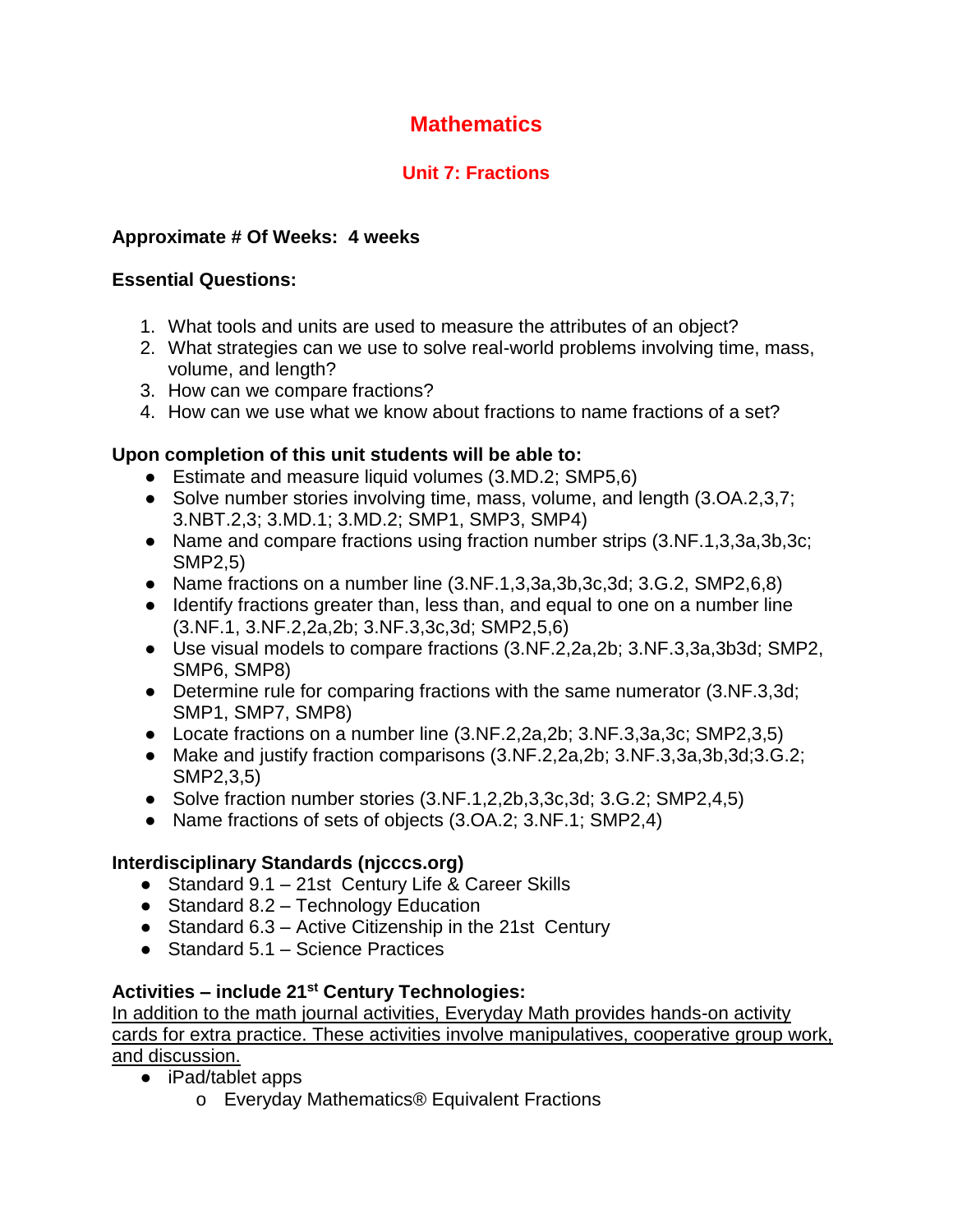# **Unit 7: Fractions**

## **Approximate # Of Weeks: 4 weeks**

#### **Essential Questions:**

- 1. What tools and units are used to measure the attributes of an object?
- 2. What strategies can we use to solve real-world problems involving time, mass, volume, and length?
- 3. How can we compare fractions?
- 4. How can we use what we know about fractions to name fractions of a set?

## **Upon completion of this unit students will be able to:**

- Estimate and measure liquid volumes (3.MD.2; SMP5,6)
- Solve number stories involving time, mass, volume, and length (3.OA.2,3,7; 3.NBT.2,3; 3.MD.1; 3.MD.2; SMP1, SMP3, SMP4)
- Name and compare fractions using fraction number strips (3.NF.1,3,3a,3b,3c; SMP2,5)
- Name fractions on a number line (3.NF.1,3,3a,3b,3c,3d; 3.G.2, SMP2,6,8)
- Identify fractions greater than, less than, and equal to one on a number line (3.NF.1, 3.NF.2,2a,2b; 3.NF.3,3c,3d; SMP2,5,6)
- Use visual models to compare fractions (3.NF.2,2a,2b; 3.NF.3,3a,3b3d; SMP2, SMP6, SMP8)
- Determine rule for comparing fractions with the same numerator (3.NF.3,3d; SMP1, SMP7, SMP8)
- Locate fractions on a number line (3.NF.2,2a,2b; 3.NF.3,3a,3c; SMP2,3,5)
- Make and justify fraction comparisons (3.NF.2,2a,2b; 3.NF.3,3a,3b,3d;3.G.2; SMP2,3,5)
- Solve fraction number stories (3.NF.1,2,2b,3,3c,3d; 3.G.2; SMP2,4,5)
- Name fractions of sets of objects (3.OA.2; 3.NF.1; SMP2,4)

## **Interdisciplinary Standards (njcccs.org)**

- Standard 9.1 21st Century Life & Career Skills
- $\bullet$  Standard 8.2 Technology Education
- Standard 6.3 Active Citizenship in the 21st Century
- $\bullet$  Standard 5.1 Science Practices

## **Activities – include 21st Century Technologies:**

- iPad/tablet apps
	- o Everyday Mathematics® Equivalent Fractions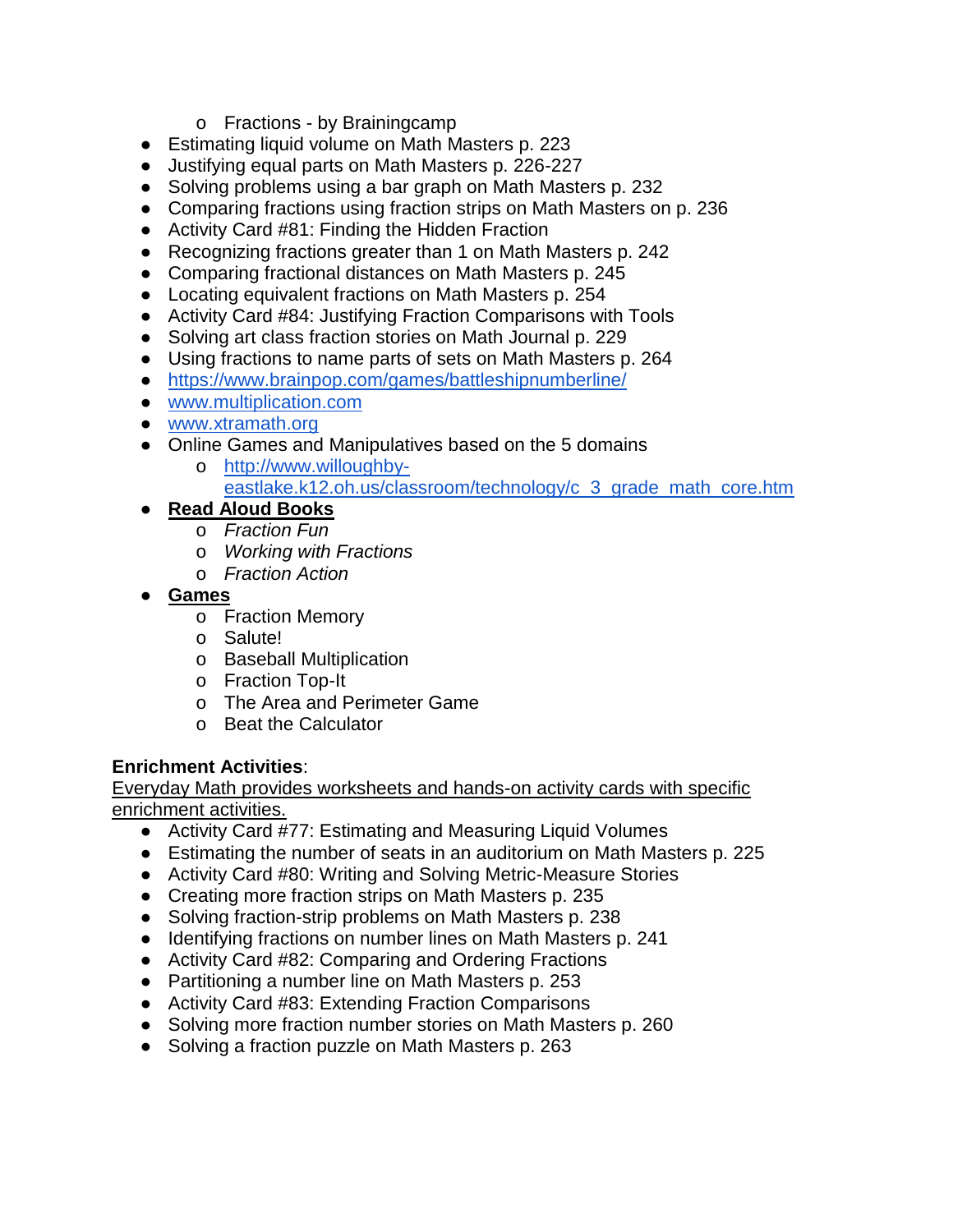- o Fractions by Brainingcamp
- Estimating liquid volume on Math Masters p. 223
- Justifying equal parts on Math Masters p. 226-227
- Solving problems using a bar graph on Math Masters p. 232
- Comparing fractions using fraction strips on Math Masters on p. 236
- Activity Card #81: Finding the Hidden Fraction
- Recognizing fractions greater than 1 on Math Masters p. 242
- Comparing fractional distances on Math Masters p. 245
- Locating equivalent fractions on Math Masters p. 254
- Activity Card #84: Justifying Fraction Comparisons with Tools
- Solving art class fraction stories on Math Journal p. 229
- Using fractions to name parts of sets on Math Masters p. 264
- <https://www.brainpop.com/games/battleshipnumberline/>
- [www.multiplication.com](http://www.multiplication.com/)
- [www.xtramath.org](http://www.xtramath.org/)
- Online Games and Manipulatives based on the 5 domains
	- o [http://www.willoughby](http://www.willoughby-eastlake.k12.oh.us/classroom/technology/c_3_grade_math_core.htm)[eastlake.k12.oh.us/classroom/technology/c\\_3\\_grade\\_math\\_core.htm](http://www.willoughby-eastlake.k12.oh.us/classroom/technology/c_3_grade_math_core.htm)
- **Read Aloud Books**
	- o *Fraction Fun*
	- o *Working with Fractions*
	- o *Fraction Action*
- **Games**
	- o Fraction Memory
	- o Salute!
	- o Baseball Multiplication
	- o Fraction Top-It
	- o The Area and Perimeter Game
	- o Beat the Calculator

#### **Enrichment Activities**:

- Activity Card #77: Estimating and Measuring Liquid Volumes
- Estimating the number of seats in an auditorium on Math Masters p. 225
- Activity Card #80: Writing and Solving Metric-Measure Stories
- Creating more fraction strips on Math Masters p. 235
- Solving fraction-strip problems on Math Masters p. 238
- Identifying fractions on number lines on Math Masters p. 241
- Activity Card #82: Comparing and Ordering Fractions
- Partitioning a number line on Math Masters p. 253
- Activity Card #83: Extending Fraction Comparisons
- Solving more fraction number stories on Math Masters p. 260
- Solving a fraction puzzle on Math Masters p. 263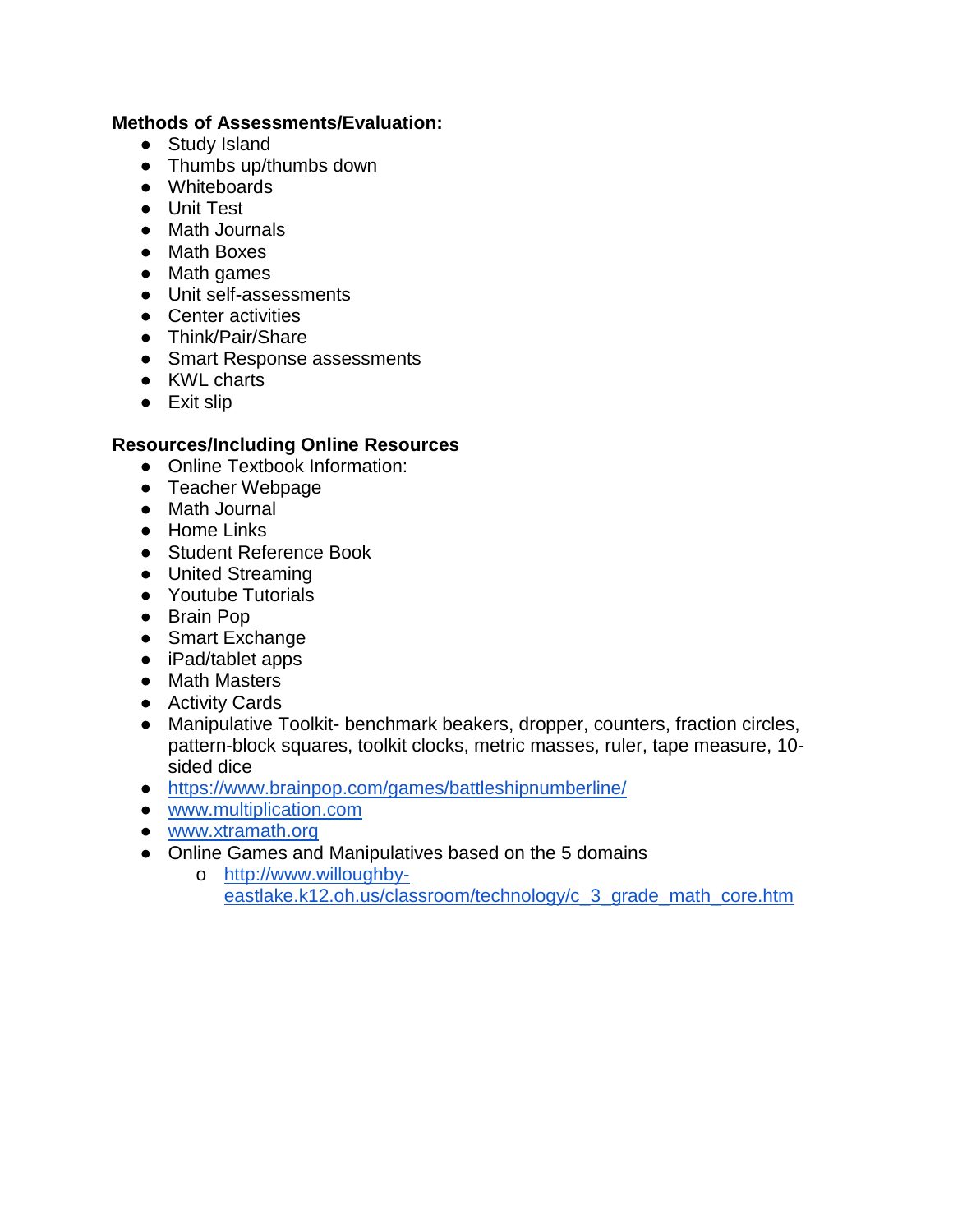#### **Methods of Assessments/Evaluation:**

- Study Island
- Thumbs up/thumbs down
- Whiteboards
- Unit Test
- Math Journals
- Math Boxes
- Math games
- Unit self-assessments
- Center activities
- Think/Pair/Share
- Smart Response assessments
- KWL charts
- Exit slip

- Online Textbook Information:
- Teacher Webpage
- Math Journal
- Home Links
- Student Reference Book
- United Streaming
- Youtube Tutorials
- Brain Pop
- Smart Exchange
- iPad/tablet apps
- Math Masters
- Activity Cards
- Manipulative Toolkit- benchmark beakers, dropper, counters, fraction circles, pattern-block squares, toolkit clocks, metric masses, ruler, tape measure, 10 sided dice
- <https://www.brainpop.com/games/battleshipnumberline/>
- [www.multiplication.com](http://www.multiplication.com/)
- [www.xtramath.org](http://www.xtramath.org/)
- Online Games and Manipulatives based on the 5 domains
	- o [http://www.willoughby](http://www.willoughby-eastlake.k12.oh.us/classroom/technology/c_3_grade_math_core.htm)[eastlake.k12.oh.us/classroom/technology/c\\_3\\_grade\\_math\\_core.htm](http://www.willoughby-eastlake.k12.oh.us/classroom/technology/c_3_grade_math_core.htm)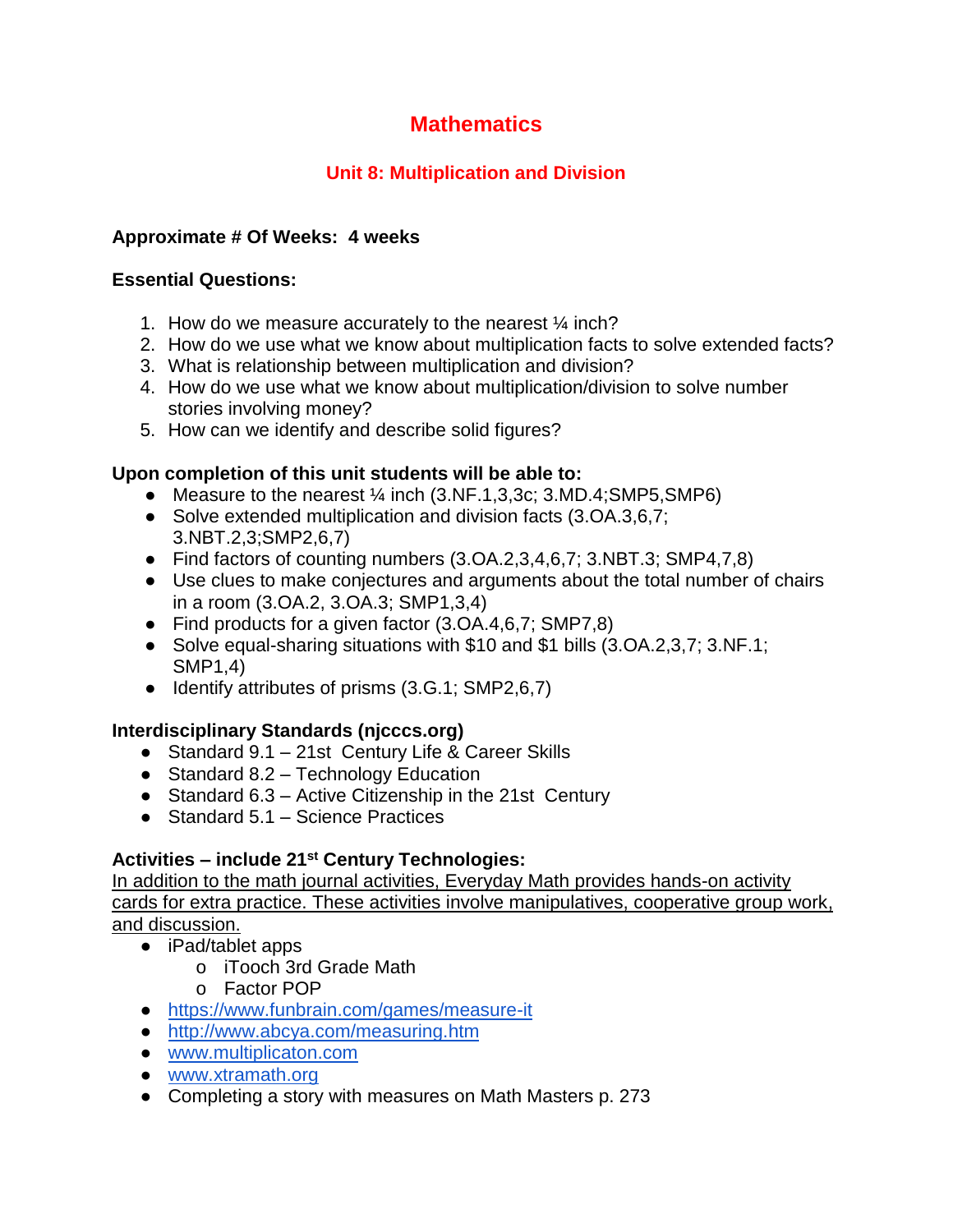# **Unit 8: Multiplication and Division**

## **Approximate # Of Weeks: 4 weeks**

#### **Essential Questions:**

- 1. How do we measure accurately to the nearest ¼ inch?
- 2. How do we use what we know about multiplication facts to solve extended facts?
- 3. What is relationship between multiplication and division?
- 4. How do we use what we know about multiplication/division to solve number stories involving money?
- 5. How can we identify and describe solid figures?

## **Upon completion of this unit students will be able to:**

- Measure to the nearest  $\frac{1}{4}$  inch (3.NF.1,3,3c; 3.MD.4;SMP5,SMP6)
- Solve extended multiplication and division facts (3.OA.3,6,7; 3.NBT.2,3;SMP2,6,7)
- Find factors of counting numbers  $(3.0A.2,3.4,6.7; 3. \text{NBT}.3; \text{SMP4},7.8)$
- Use clues to make conjectures and arguments about the total number of chairs in a room (3.OA.2, 3.OA.3; SMP1,3,4)
- Find products for a given factor (3.OA.4,6,7; SMP7,8)
- Solve equal-sharing situations with \$10 and \$1 bills (3.OA.2,3,7; 3.NF.1; SMP1,4)
- Identify attributes of prisms (3.G.1; SMP2,6,7)

## **Interdisciplinary Standards (njcccs.org)**

- Standard 9.1 21st Century Life & Career Skills
- $\bullet$  Standard 8.2 Technology Education
- Standard 6.3 Active Citizenship in the 21st Century
- $\bullet$  Standard 5.1 Science Practices

## **Activities – include 21st Century Technologies:**

- iPad/tablet apps
	- o iTooch 3rd Grade Math
	- o Factor POP
- <https://www.funbrain.com/games/measure-it>
- <http://www.abcya.com/measuring.htm>
- [www.multiplicaton.com](http://www.multiplicaton.com/)
- [www.xtramath.org](http://www.xtramath.org/)
- Completing a story with measures on Math Masters p. 273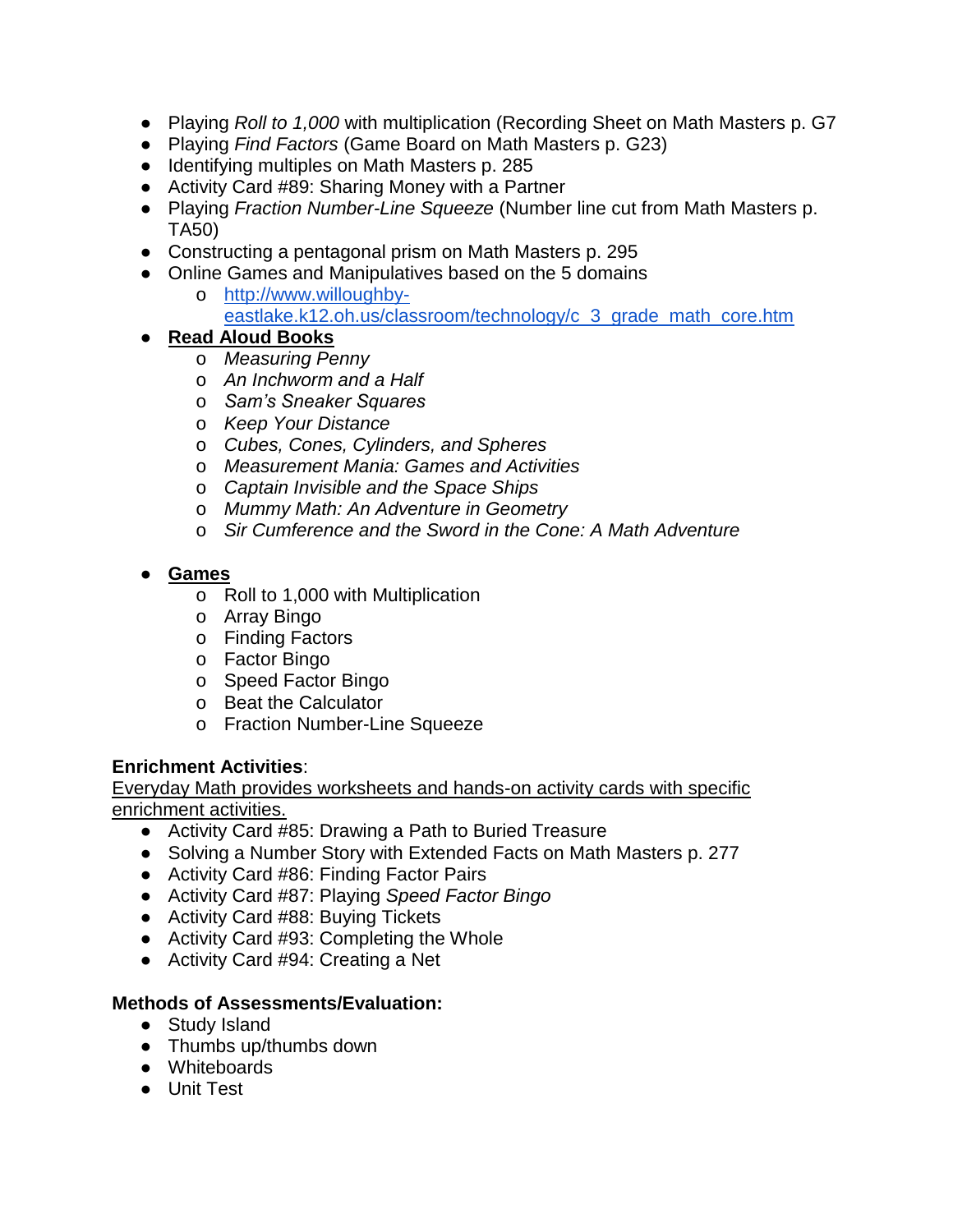- Playing *Roll to 1,000* with multiplication (Recording Sheet on Math Masters p. G7
- Playing *Find Factors* (Game Board on Math Masters p. G23)
- Identifying multiples on Math Masters p. 285
- Activity Card #89: Sharing Money with a Partner
- Playing *Fraction Number-Line Squeeze* (Number line cut from Math Masters p. TA50)
- Constructing a pentagonal prism on Math Masters p. 295
- Online Games and Manipulatives based on the 5 domains
	- o [http://www.willoughby](http://www.willoughby-eastlake.k12.oh.us/classroom/technology/c_3_grade_math_core.htm)[eastlake.k12.oh.us/classroom/technology/c\\_3\\_grade\\_math\\_core.htm](http://www.willoughby-eastlake.k12.oh.us/classroom/technology/c_3_grade_math_core.htm)

## ● **Read Aloud Books**

- o *Measuring Penny*
- o *An Inchworm and a Half*
- o *Sam's Sneaker Squares*
- o *Keep Your Distance*
- o *Cubes, Cones, Cylinders, and Spheres*
- o *Measurement Mania: Games and Activities*
- o *Captain Invisible and the Space Ships*
- o *Mummy Math: An Adventure in Geometry*
- o *Sir Cumference and the Sword in the Cone: A Math Adventure*

## ● **Games**

- o Roll to 1,000 with Multiplication
- o Array Bingo
- o Finding Factors
- o Factor Bingo
- o Speed Factor Bingo
- o Beat the Calculator
- o Fraction Number-Line Squeeze

#### **Enrichment Activities**:

Everyday Math provides worksheets and hands-on activity cards with specific enrichment activities.

- Activity Card #85: Drawing a Path to Buried Treasure
- Solving a Number Story with Extended Facts on Math Masters p. 277
- Activity Card #86: Finding Factor Pairs
- Activity Card #87: Playing *Speed Factor Bingo*
- Activity Card #88: Buying Tickets
- Activity Card #93: Completing the Whole
- Activity Card #94: Creating a Net

#### **Methods of Assessments/Evaluation:**

- Study Island
- Thumbs up/thumbs down
- Whiteboards
- Unit Test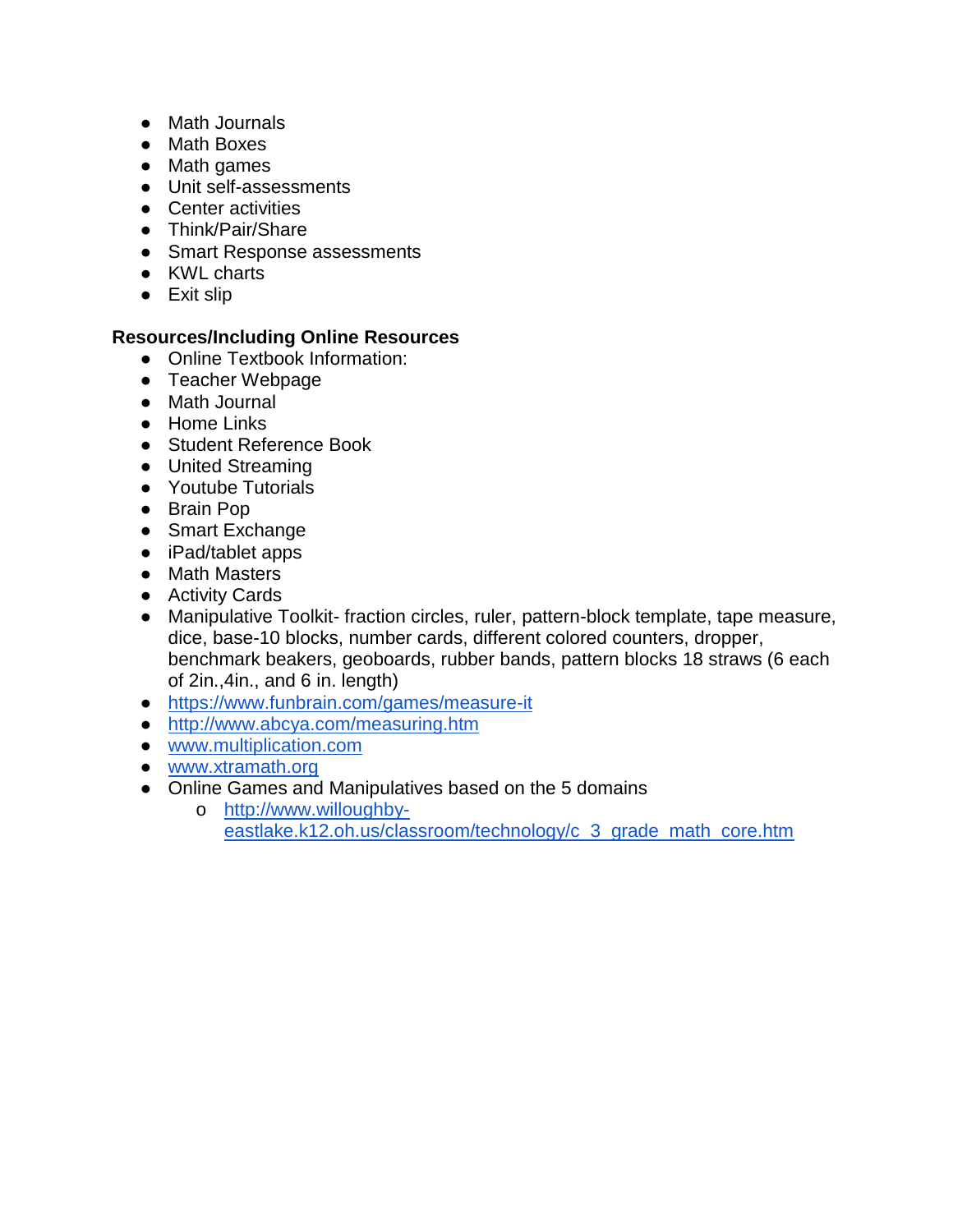- Math Journals
- Math Boxes
- Math games
- Unit self-assessments
- Center activities
- Think/Pair/Share
- Smart Response assessments
- KWL charts
- Exit slip

- Online Textbook Information:
- Teacher Webpage
- Math Journal
- Home Links
- Student Reference Book
- United Streaming
- Youtube Tutorials
- Brain Pop
- Smart Exchange
- iPad/tablet apps
- Math Masters
- Activity Cards
- Manipulative Toolkit- fraction circles, ruler, pattern-block template, tape measure, dice, base-10 blocks, number cards, different colored counters, dropper, benchmark beakers, geoboards, rubber bands, pattern blocks 18 straws (6 each of 2in.,4in., and 6 in. length)
- <https://www.funbrain.com/games/measure-it>
- <http://www.abcya.com/measuring.htm>
- [www.multiplication.com](http://www.multiplication.com/)
- [www.xtramath.org](http://www.xtramath.org/)
- Online Games and Manipulatives based on the 5 domains
	- o [http://www.willoughby](http://www.willoughby-eastlake.k12.oh.us/classroom/technology/c_3_grade_math_core.htm)[eastlake.k12.oh.us/classroom/technology/c\\_3\\_grade\\_math\\_core.htm](http://www.willoughby-eastlake.k12.oh.us/classroom/technology/c_3_grade_math_core.htm)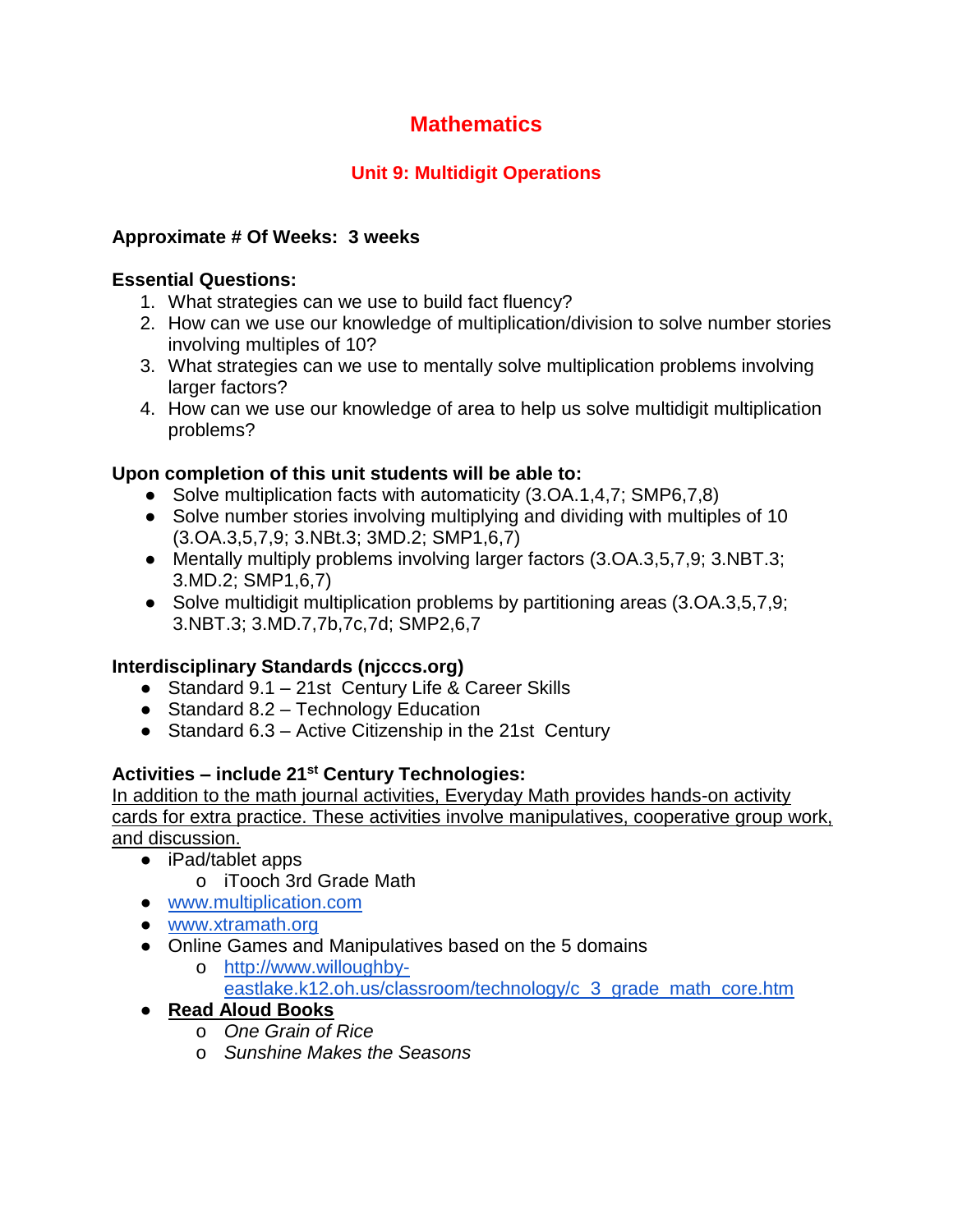# **Unit 9: Multidigit Operations**

## **Approximate # Of Weeks: 3 weeks**

## **Essential Questions:**

- 1. What strategies can we use to build fact fluency?
- 2. How can we use our knowledge of multiplication/division to solve number stories involving multiples of 10?
- 3. What strategies can we use to mentally solve multiplication problems involving larger factors?
- 4. How can we use our knowledge of area to help us solve multidigit multiplication problems?

## **Upon completion of this unit students will be able to:**

- Solve multiplication facts with automaticity (3.OA.1,4,7; SMP6,7,8)
- Solve number stories involving multiplying and dividing with multiples of 10 (3.OA.3,5,7,9; 3.NBt.3; 3MD.2; SMP1,6,7)
- Mentally multiply problems involving larger factors (3.OA.3,5,7,9; 3.NBT.3; 3.MD.2; SMP1,6,7)
- Solve multidigit multiplication problems by partitioning areas (3.OA.3,5,7,9; 3.NBT.3; 3.MD.7,7b,7c,7d; SMP2,6,7

## **Interdisciplinary Standards (njcccs.org)**

- Standard 9.1 21st Century Life & Career Skills
- Standard 8.2 Technology Education
- Standard 6.3 Active Citizenship in the 21st Century

## **Activities – include 21st Century Technologies:**

- iPad/tablet apps
	- o iTooch 3rd Grade Math
- [www.multiplication.com](http://www.multiplication.com/)
- [www.xtramath.org](http://www.xtramath.org/)
- Online Games and Manipulatives based on the 5 domains
	- o [http://www.willoughby](http://www.willoughby-eastlake.k12.oh.us/classroom/technology/c_3_grade_math_core.htm)[eastlake.k12.oh.us/classroom/technology/c\\_3\\_grade\\_math\\_core.htm](http://www.willoughby-eastlake.k12.oh.us/classroom/technology/c_3_grade_math_core.htm)
- **Read Aloud Books**
	- o *One Grain of Rice*
	- o *Sunshine Makes the Seasons*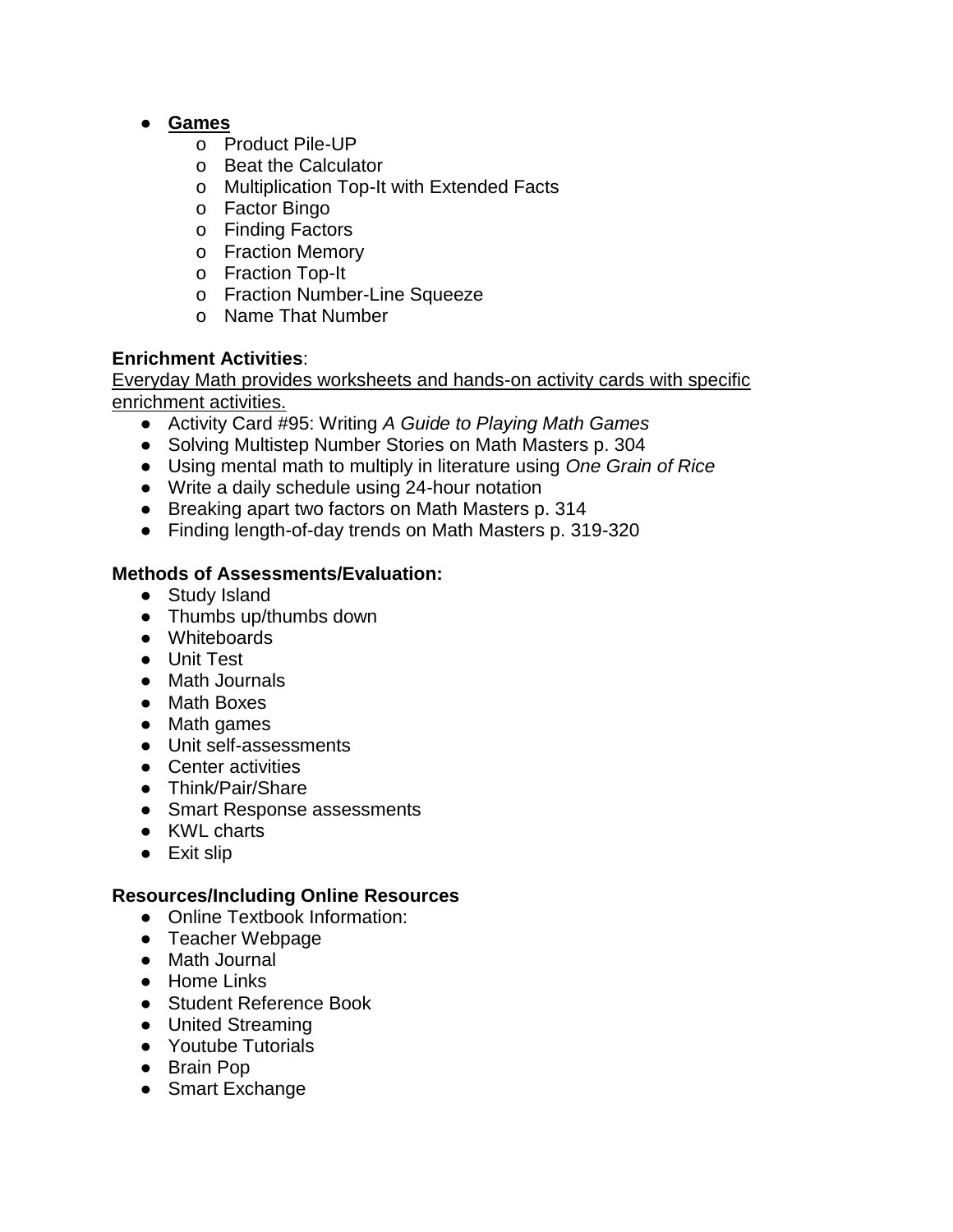## ● **Games**

- o Product Pile-UP
- o Beat the Calculator
- o Multiplication Top-It with Extended Facts
- o Factor Bingo
- o Finding Factors
- o Fraction Memory
- o Fraction Top-It
- o Fraction Number-Line Squeeze
- o Name That Number

## **Enrichment Activities**:

Everyday Math provides worksheets and hands-on activity cards with specific enrichment activities.

- Activity Card #95: Writing *A Guide to Playing Math Games*
- Solving Multistep Number Stories on Math Masters p. 304
- Using mental math to multiply in literature using *One Grain of Rice*
- Write a daily schedule using 24-hour notation
- Breaking apart two factors on Math Masters p. 314
- Finding length-of-day trends on Math Masters p. 319-320

## **Methods of Assessments/Evaluation:**

- Study Island
- Thumbs up/thumbs down
- Whiteboards
- Unit Test
- Math Journals
- Math Boxes
- Math games
- Unit self-assessments
- Center activities
- Think/Pair/Share
- Smart Response assessments
- KWL charts
- Exit slip

- Online Textbook Information:
- Teacher Webpage
- Math Journal
- Home Links
- Student Reference Book
- United Streaming
- Youtube Tutorials
- Brain Pop
- Smart Exchange